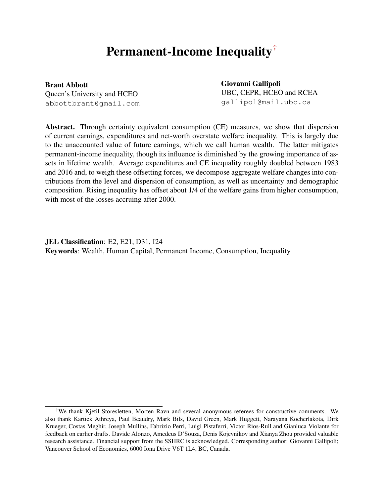# Permanent-Income Inequality[†](#page-0-0)

Brant Abbott Queen's University and HCEO abbottbrant@gmail.com Giovanni Gallipoli UBC, CEPR, HCEO and RCEA gallipol@mail.ubc.ca

Abstract. Through certainty equivalent consumption (CE) measures, we show that dispersion of current earnings, expenditures and net-worth overstate welfare inequality. This is largely due to the unaccounted value of future earnings, which we call human wealth. The latter mitigates permanent-income inequality, though its influence is diminished by the growing importance of assets in lifetime wealth. Average expenditures and CE inequality roughly doubled between 1983 and 2016 and, to weigh these offsetting forces, we decompose aggregate welfare changes into contributions from the level and dispersion of consumption, as well as uncertainty and demographic composition. Rising inequality has offset about 1/4 of the welfare gains from higher consumption, with most of the losses accruing after 2000.

JEL Classification: E2, E21, D31, I24 Keywords: Wealth, Human Capital, Permanent Income, Consumption, Inequality

<span id="page-0-0"></span><sup>†</sup>We thank Kjetil Storesletten, Morten Ravn and several anonymous referees for constructive comments. We also thank Kartick Athreya, Paul Beaudry, Mark Bils, David Green, Mark Huggett, Narayana Kocherlakota, Dirk Krueger, Costas Meghir, Joseph Mullins, Fabrizio Perri, Luigi Pistaferri, Victor Rios-Rull and Gianluca Violante for feedback on earlier drafts. Davide Alonzo, Amedeus D'Souza, Denis Kojevnikov and Xianya Zhou provided valuable research assistance. Financial support from the SSHRC is acknowledged. Corresponding author: Giovanni Gallipoli; Vancouver School of Economics, 6000 Iona Drive V6T 1L4, BC, Canada.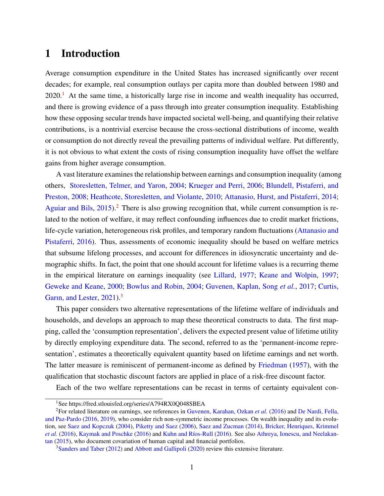# 1 Introduction

Average consumption expenditure in the United States has increased significantly over recent decades; for example, real consumption outlays per capita more than doubled between 1980 and  $2020<sup>1</sup>$  $2020<sup>1</sup>$  $2020<sup>1</sup>$  At the same time, a historically large rise in income and wealth inequality has occurred, and there is growing evidence of a pass through into greater consumption inequality. Establishing how these opposing secular trends have impacted societal well-being, and quantifying their relative contributions, is a nontrivial exercise because the cross-sectional distributions of income, wealth or consumption do not directly reveal the prevailing patterns of individual welfare. Put differently, it is not obvious to what extent the costs of rising consumption inequality have offset the welfare gains from higher average consumption.

A vast literature examines the relationship between earnings and consumption inequality (among others, [Storesletten, Telmer, and Yaron,](#page-43-0) [2004;](#page-43-0) [Krueger and Perri,](#page-42-0) [2006;](#page-42-0) [Blundell, Pistaferri, and](#page-41-0) [Preston,](#page-41-0) [2008;](#page-41-0) [Heathcote, Storesletten, and Violante,](#page-42-1) [2010;](#page-42-1) [Attanasio, Hurst, and Pistaferri,](#page-41-1) [2014;](#page-41-1) [Aguiar and Bils,](#page-41-2)  $2015$  $2015$ ).<sup>2</sup> There is also growing recognition that, while current consumption is related to the notion of welfare, it may reflect confounding influences due to credit market frictions, life-cycle variation, heterogeneous risk profiles, and temporary random fluctuations [\(Attanasio and](#page-41-3) [Pistaferri,](#page-41-3) [2016\)](#page-41-3). Thus, assessments of economic inequality should be based on welfare metrics that subsume lifelong processes, and account for differences in idiosyncratic uncertainty and demographic shifts. In fact, the point that one should account for lifetime values is a recurring theme in the empirical literature on earnings inequality (see [Lillard,](#page-42-2) [1977;](#page-42-2) [Keane and Wolpin,](#page-42-3) [1997;](#page-42-3) [Geweke and Keane,](#page-42-4) [2000;](#page-42-4) [Bowlus and Robin,](#page-41-4) [2004;](#page-41-4) [Guvenen, Kaplan, Song](#page-42-5) *et al.*, [2017;](#page-42-5) [Curtis,](#page-41-5) Garin, and Lester, [2021\)](#page-41-5).<sup>[3](#page-1-2)</sup>

This paper considers two alternative representations of the lifetime welfare of individuals and households, and develops an approach to map these theoretical constructs to data. The first mapping, called the 'consumption representation', delivers the expected present value of lifetime utility by directly employing expenditure data. The second, referred to as the 'permanent-income representation', estimates a theoretically equivalent quantity based on lifetime earnings and net worth. The latter measure is reminiscent of permanent-income as defined by [Friedman](#page-42-6) [\(1957\)](#page-42-6), with the qualification that stochastic discount factors are applied in place of a risk-free discount factor.

Each of the two welfare representations can be recast in terms of certainty equivalent con-

<span id="page-1-1"></span><span id="page-1-0"></span><sup>&</sup>lt;sup>1</sup>See https://fred.stlouisfed.org/series/A794RX0O048SBEA

<sup>2</sup>For related literature on earnings, see references in [Guvenen, Karahan, Ozkan](#page-42-7) *et al.* [\(2016\)](#page-42-7) and [De Nardi, Fella,](#page-41-6) [and Paz-Pardo](#page-41-6) [\(2016,](#page-41-6) [2019\)](#page-42-8), who consider rich non-symmetric income processes. On wealth inequality and its evolution, see [Saez and Kopczuk](#page-43-1) [\(2004\)](#page-43-1), [Piketty and Saez](#page-43-2) [\(2006\)](#page-43-2), [Saez and Zucman](#page-43-3) [\(2014\)](#page-43-3), [Bricker, Henriques, Krimmel](#page-41-7) *[et al.](#page-41-7)* [\(2016\)](#page-42-10), [Kaymak and Poschke](#page-42-9) (2016) and Kuhn and Ríos-Rull (2016). See also [Athreya, Ionescu, and Neelakan](#page-41-8)[tan](#page-41-8) [\(2015\)](#page-41-8), who document covariation of human capital and financial portfolios.

<span id="page-1-2"></span><sup>3</sup>[Sanders and Taber](#page-43-4) [\(2012\)](#page-43-4) and [Abbott and Gallipoli](#page-41-9) [\(2020\)](#page-41-9) review this extensive literature.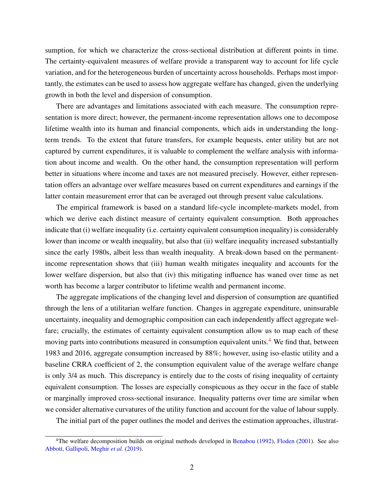sumption, for which we characterize the cross-sectional distribution at different points in time. The certainty-equivalent measures of welfare provide a transparent way to account for life cycle variation, and for the heterogeneous burden of uncertainty across households. Perhaps most importantly, the estimates can be used to assess how aggregate welfare has changed, given the underlying growth in both the level and dispersion of consumption.

There are advantages and limitations associated with each measure. The consumption representation is more direct; however, the permanent-income representation allows one to decompose lifetime wealth into its human and financial components, which aids in understanding the longterm trends. To the extent that future transfers, for example bequests, enter utility but are not captured by current expenditures, it is valuable to complement the welfare analysis with information about income and wealth. On the other hand, the consumption representation will perform better in situations where income and taxes are not measured precisely. However, either representation offers an advantage over welfare measures based on current expenditures and earnings if the latter contain measurement error that can be averaged out through present value calculations.

The empirical framework is based on a standard life-cycle incomplete-markets model, from which we derive each distinct measure of certainty equivalent consumption. Both approaches indicate that (i) welfare inequality (i.e. certainty equivalent consumption inequality) is considerably lower than income or wealth inequality, but also that (ii) welfare inequality increased substantially since the early 1980s, albeit less than wealth inequality. A break-down based on the permanentincome representation shows that (iii) human wealth mitigates inequality and accounts for the lower welfare dispersion, but also that (iv) this mitigating influence has waned over time as net worth has become a larger contributor to lifetime wealth and permanent income.

The aggregate implications of the changing level and dispersion of consumption are quantified through the lens of a utilitarian welfare function. Changes in aggregate expenditure, uninsurable uncertainty, inequality and demographic composition can each independently affect aggregate welfare; crucially, the estimates of certainty equivalent consumption allow us to map each of these moving parts into contributions measured in consumption equivalent units.<sup>[4](#page-2-0)</sup> We find that, between 1983 and 2016, aggregate consumption increased by 88%; however, using iso-elastic utility and a baseline CRRA coefficient of 2, the consumption equivalent value of the average welfare change is only 3/4 as much. This discrepancy is entirely due to the costs of rising inequality of certainty equivalent consumption. The losses are especially conspicuous as they occur in the face of stable or marginally improved cross-sectional insurance. Inequality patterns over time are similar when we consider alternative curvatures of the utility function and account for the value of labour supply.

The initial part of the paper outlines the model and derives the estimation approaches, illustrat-

<span id="page-2-0"></span> $4$ The welfare decomposition builds on original methods developed in [Benabou](#page-41-10) [\(1992\)](#page-41-10), [Floden](#page-42-11) [\(2001\)](#page-42-11). See also [Abbott, Gallipoli, Meghir](#page-41-11) et al. [\(2019\)](#page-41-11).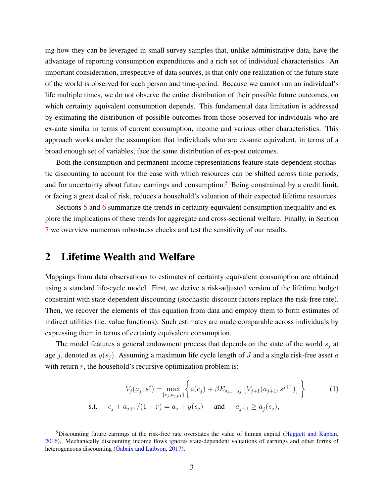ing how they can be leveraged in small survey samples that, unlike administrative data, have the advantage of reporting consumption expenditures and a rich set of individual characteristics. An important consideration, irrespective of data sources, is that only one realization of the future state of the world is observed for each person and time-period. Because we cannot run an individual's life multiple times, we do not observe the entire distribution of their possible future outcomes, on which certainty equivalent consumption depends. This fundamental data limitation is addressed by estimating the distribution of possible outcomes from those observed for individuals who are ex-ante similar in terms of current consumption, income and various other characteristics. This approach works under the assumption that individuals who are ex-ante equivalent, in terms of a broad enough set of variables, face the same distribution of ex-post outcomes.

Both the consumption and permanent-income representations feature state-dependent stochastic discounting to account for the ease with which resources can be shifted across time periods, and for uncertainty about future earnings and consumption.<sup>[5](#page-3-0)</sup> Being constrained by a credit limit, or facing a great deal of risk, reduces a household's valuation of their expected lifetime resources.

Sections [5](#page-14-0) and [6](#page-18-0) summarize the trends in certainty equivalent consumption inequality and explore the implications of these trends for aggregate and cross-sectional welfare. Finally, in Section [7](#page-23-0) we overview numerous robustness checks and test the sensitivity of our results.

### 2 Lifetime Wealth and Welfare

Mappings from data observations to estimates of certainty equivalent consumption are obtained using a standard life-cycle model. First, we derive a risk-adjusted version of the lifetime budget constraint with state-dependent discounting (stochastic discount factors replace the risk-free rate). Then, we recover the elements of this equation from data and employ them to form estimates of indirect utilities (i.e. value functions). Such estimates are made comparable across individuals by expressing them in terms of certainty equivalent consumption.

The model features a general endowment process that depends on the state of the world  $s_i$  at age j, denoted as  $y(s_i)$ . Assuming a maximum life cycle length of J and a single risk-free asset a with return  $r$ , the household's recursive optimization problem is:

<span id="page-3-1"></span>
$$
V_j(a_j, s^j) = \max_{\{c_j, a_{j+1}\}} \left\{ \mathbf{u}(c_j) + \beta E_{s_{j+1}|s_j} \left[ V_{j+1}(a_{j+1}, s^{j+1}) \right] \right\}
$$
 (1)  
s.t.  $c_j + a_{j+1}/(1+r) = a_j + y(s_j)$  and  $a_{j+1} \ge \underline{a}_j(s_j)$ ,

<span id="page-3-0"></span><sup>&</sup>lt;sup>5</sup>Discounting future earnings at the risk-free rate overstates the value of human capital [\(Huggett and Kaplan,](#page-42-12) [2016\)](#page-42-12). Mechanically discounting income flows ignores state-dependent valuations of earnings and other forms of heterogeneous discounting [\(Gabaix and Laibson,](#page-42-13) [2017\)](#page-42-13).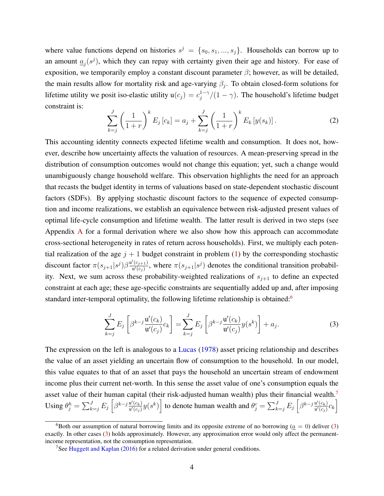where value functions depend on histories  $s^j = \{s_0, s_1, ..., s_j\}$ . Households can borrow up to an amount  $\underline{a}_j(s^j)$ , which they can repay with certainty given their age and history. For ease of exposition, we temporarily employ a constant discount parameter  $\beta$ ; however, as will be detailed, the main results allow for mortality risk and age-varying  $\beta_j$ . To obtain closed-form solutions for lifetime utility we posit iso-elastic utility  $u(c_j) = c_j^{1-\gamma}$  $j_j^{1-\gamma}/(1-\gamma)$ . The household's lifetime budget constraint is:

$$
\sum_{k=j}^{J} \left(\frac{1}{1+r}\right)^k E_j[c_k] = a_j + \sum_{k=j}^{J} \left(\frac{1}{1+r}\right)^k E_k[y(s_k)].
$$
\n(2)

This accounting identity connects expected lifetime wealth and consumption. It does not, however, describe how uncertainty affects the valuation of resources. A mean-preserving spread in the distribution of consumption outcomes would not change this equation; yet, such a change would unambiguously change household welfare. This observation highlights the need for an approach that recasts the budget identity in terms of valuations based on state-dependent stochastic discount factors (SDFs). By applying stochastic discount factors to the sequence of expected consumption and income realizations, we establish an equivalence between risk-adjusted present values of optimal life-cycle consumption and lifetime wealth. The latter result is derived in two steps (see Appendix [A](#page-32-0) for a formal derivation where we also show how this approach can accommodate cross-sectional heterogeneity in rates of return across households). First, we multiply each potential realization of the age  $j + 1$  budget constraint in problem [\(1\)](#page-3-1) by the corresponding stochastic discount factor  $\pi(s_{j+1}|s^j)\beta \frac{\mathbf{u}'(c_{j+1})}{\mathbf{u}'(c_j)}$  $\frac{\binom{(c_{j+1})}{w'(c_j)}}{w'(c_j)}$ , where  $\pi(s_{j+1}|s^j)$  denotes the conditional transition probability. Next, we sum across these probability-weighted realizations of  $s_{j+1}$  to define an expected constraint at each age; these age-specific constraints are sequentially added up and, after imposing standard inter-temporal optimality, the following lifetime relationship is obtained:<sup>[6](#page-4-0)</sup>

<span id="page-4-2"></span>
$$
\sum_{k=j}^{J} E_j \left[ \beta^{k-j} \frac{\mathbf{u}'(c_k)}{\mathbf{u}'(c_j)} c_k \right] = \sum_{k=j}^{J} E_j \left[ \beta^{k-j} \frac{\mathbf{u}'(c_k)}{\mathbf{u}'(c_j)} y(s^k) \right] + a_j.
$$
 (3)

The expression on the left is analogous to a [Lucas](#page-42-14) [\(1978\)](#page-42-14) asset pricing relationship and describes the value of an asset yielding an uncertain flow of consumption to the household. In our model, this value equates to that of an asset that pays the household an uncertain stream of endowment income plus their current net-worth. In this sense the asset value of one's consumption equals the asset value of their human capital (their risk-adjusted human wealth) plus their financial wealth.[7](#page-4-1) Using  $\theta_j^h = \sum_{k=j}^J E_j \left[ \beta^{k-j} \frac{\mathbf{u}'(c_k)}{\mathbf{u}'(c_j)} \right]$  $\frac{u'(c_k)}{u'(c_j)}y(s^k)$  to denote human wealth and  $\theta_j^c = \sum_{k=j}^J E_j \left[ \beta^{k-j} \frac{u'(c_k)}{u'(c_j)} \right]$  $\frac{\mathrm{u}'(c_k)}{\mathrm{u}'(c_j)}c_k\bigg]$ 

<span id="page-4-0"></span><sup>&</sup>lt;sup>6</sup>Both our assumption of natural borrowing limits and its opposite extreme of no borrowing ( $a = 0$ ) deliver [\(3\)](#page-4-2) exactly. In other cases [\(3\)](#page-4-2) holds approximately. However, any approximation error would only affect the permanentincome representation, not the consumption representation.

<span id="page-4-1"></span><sup>&</sup>lt;sup>7</sup>See [Huggett and Kaplan](#page-42-12) [\(2016\)](#page-42-12) for a related derivation under general conditions.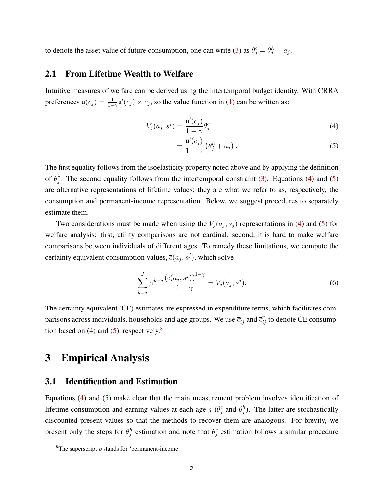to denote the asset value of future consumption, one can write [\(3\)](#page-4-2) as  $\theta_j^c = \theta_j^h + a_j$ .

#### 2.1 From Lifetime Wealth to Welfare

Intuitive measures of welfare can be derived using the intertemporal budget identity. With CRRA preferences  $u(c_j) = \frac{1}{1-\gamma} u'(c_j) \times c_j$ , so the value function in [\(1\)](#page-3-1) can be written as:

$$
V_j(a_j, s^j) = \frac{\mathbf{u}'(c_j)}{1 - \gamma} \theta_j^c \tag{4}
$$

<span id="page-5-1"></span><span id="page-5-0"></span>
$$
=\frac{\mathbf{u}'(c_j)}{1-\gamma}\left(\theta_j^h+a_j\right). \tag{5}
$$

The first equality follows from the isoelasticity property noted above and by applying the definition of  $\theta_j^c$ . The second equality follows from the intertemporal constraint [\(3\)](#page-4-2). Equations [\(4\)](#page-5-0) and [\(5\)](#page-5-1) are alternative representations of lifetime values; they are what we refer to as, respectively, the consumption and permanent-income representation. Below, we suggest procedures to separately estimate them.

Two considerations must be made when using the  $V_j(a_j, s_j)$  representations in [\(4\)](#page-5-0) and [\(5\)](#page-5-1) for welfare analysis: first, utility comparisons are not cardinal; second, it is hard to make welfare comparisons between individuals of different ages. To remedy these limitations, we compute the certainty equivalent consumption values,  $\overline{c}(a_j, s^j)$ , which solve

<span id="page-5-4"></span>
$$
\sum_{k=j}^{J} \beta^{k-j} \frac{\left(\overline{c}(a_j, s^j)\right)^{1-\gamma}}{1-\gamma} = V_j(a_j, s^j).
$$
 (6)

The certainty equivalent (CE) estimates are expressed in expenditure terms, which facilitates comparisons across individuals, households and age groups. We use  $\bar{c}_{ij}^c$  and  $\bar{c}_{ij}^p$  to denote CE consumption based on  $(4)$  and  $(5)$ , respectively.<sup>[8](#page-5-2)</sup>

### 3 Empirical Analysis

#### <span id="page-5-3"></span>3.1 Identification and Estimation

Equations [\(4\)](#page-5-0) and [\(5\)](#page-5-1) make clear that the main measurement problem involves identification of lifetime consumption and earning values at each age  $j(\theta_j^c)$  and  $\theta_j^h$ ). The latter are stochastically discounted present values so that the methods to recover them are analogous. For brevity, we present only the steps for  $\theta_j^h$  estimation and note that  $\theta_j^c$  estimation follows a similar procedure

<span id="page-5-2"></span><sup>&</sup>lt;sup>8</sup>The superscript  $p$  stands for 'permanent-income'.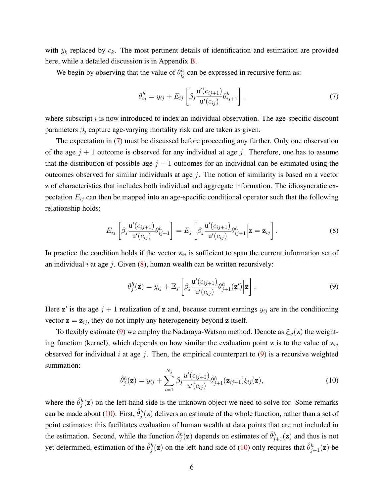with  $y_k$  replaced by  $c_k$ . The most pertinent details of identification and estimation are provided here, while a detailed discussion is in Appendix [B.](#page-34-0)

We begin by observing that the value of  $\theta_{ij}^h$  can be expressed in recursive form as:

<span id="page-6-0"></span>
$$
\theta_{ij}^h = y_{ij} + E_{ij} \left[ \beta_j \frac{\mathbf{u}'(c_{ij+1})}{\mathbf{u}'(c_{ij})} \theta_{ij+1}^h \right], \tag{7}
$$

where subscript  $i$  is now introduced to index an individual observation. The age-specific discount parameters  $\beta_j$  capture age-varying mortality risk and are taken as given.

The expectation in [\(7\)](#page-6-0) must be discussed before proceeding any further. Only one observation of the age  $j + 1$  outcome is observed for any individual at age j. Therefore, one has to assume that the distribution of possible age  $j + 1$  outcomes for an individual can be estimated using the outcomes observed for similar individuals at age  $j$ . The notion of similarity is based on a vector z of characteristics that includes both individual and aggregate information. The idiosyncratic expectation  $E_{ij}$  can then be mapped into an age-specific conditional operator such that the following relationship holds:

<span id="page-6-1"></span>
$$
E_{ij}\left[\beta_j \frac{\mathbf{u}'(c_{ij+1})}{\mathbf{u}'(c_{ij})}\theta_{ij+1}^h\right] = E_j\left[\beta_j \frac{\mathbf{u}'(c_{ij+1})}{\mathbf{u}'(c_{ij})}\theta_{ij+1}^h\bigg|\mathbf{z} = \mathbf{z}_{ij}\right].
$$
\n(8)

In practice the condition holds if the vector  $z_{ij}$  is sufficient to span the current information set of an individual i at age j. Given  $(8)$ , human wealth can be written recursively:

<span id="page-6-2"></span>
$$
\theta_j^h(\mathbf{z}) = y_{ij} + \mathbb{E}_j \left[ \beta_j \frac{\mathbf{u}'(c_{ij+1})}{\mathbf{u}'(c_{ij})} \theta_{j+1}^h(\mathbf{z}') \Big| \mathbf{z} \right]. \tag{9}
$$

Here z' is the age  $j + 1$  realization of z and, because current earnings  $y_{ij}$  are in the conditioning vector  $z = z_{ij}$ , they do not imply any heterogeneity beyond z itself.

To flexibly estimate [\(9\)](#page-6-2) we employ the Nadaraya-Watson method. Denote as  $\xi_{ij}(\mathbf{z})$  the weighting function (kernel), which depends on how similar the evaluation point z is to the value of  $z_{ij}$ observed for individual i at age j. Then, the empirical counterpart to  $(9)$  is a recursive weighted summation:

<span id="page-6-3"></span>
$$
\hat{\theta}_j^h(\mathbf{z}) = y_{ij} + \sum_{i=1}^{N_j} \beta_j \frac{u'(c_{ij+1})}{u'(c_{ij})} \hat{\theta}_{j+1}^h(\mathbf{z}_{ij+1}) \xi_{ij}(\mathbf{z}), \qquad (10)
$$

where the  $\hat{\theta}_{j}^{h}(\mathbf{z})$  on the left-hand side is the unknown object we need to solve for. Some remarks can be made about [\(10\)](#page-6-3). First,  $\hat{\theta}_{j}^{h}(\mathbf{z})$  delivers an estimate of the whole function, rather than a set of point estimates; this facilitates evaluation of human wealth at data points that are not included in the estimation. Second, while the function  $\hat{\theta}^h_j(z)$  depends on estimates of  $\hat{\theta}^h_{j+1}(z)$  and thus is not yet determined, estimation of the  $\hat{\theta}^h_j(z)$  on the left-hand side of [\(10\)](#page-6-3) only requires that  $\hat{\theta}^h_{j+1}(z)$  be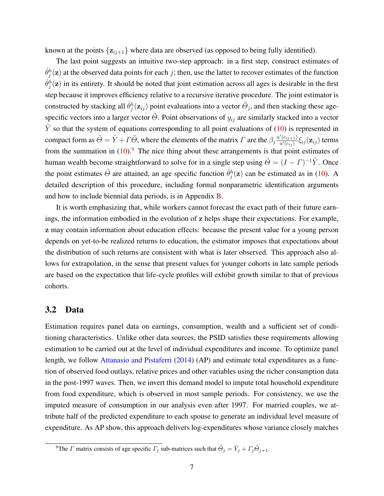known at the points  $\{z_{i,j+1}\}$  where data are observed (as opposed to being fully identified).

The last point suggests an intuitive two-step approach: in a first step, construct estimates of  $\hat{\theta}_j^h(\mathbf{z})$  at the observed data points for each j; then, use the latter to recover estimates of the function  $\hat{\theta}_{j}^{h}(\mathbf{z})$  in its entirety. It should be noted that joint estimation across all ages is desirable in the first step because it improves efficiency relative to a recursive iterative procedure. The joint estimator is constructed by stacking all  $\hat{\theta}^h_j(z_{ij})$  point evaluations into a vector  $\tilde{\Theta}_j$ , and then stacking these agespecific vectors into a larger vector  $\tilde{\Theta}$ . Point observations of  $y_{ij}$  are similarly stacked into a vector  $\tilde{Y}$  so that the system of equations corresponding to all point evaluations of [\(10\)](#page-6-3) is represented in compact form as  $\tilde{\Theta} = \tilde{Y} + \Gamma \tilde{\Theta}$ , where the elements of the matrix  $\Gamma$  are the  $\beta_j \frac{u'(c_{ij+1})}{u'(c_{ij})}$  $\frac{C(c_{ij}+1)}{u'(c_{ij})} \xi_{ij}(\mathbf{z}_{ij})$  terms from the summation in  $(10)$ .<sup>[9](#page-7-0)</sup> The nice thing about these arrangements is that point estimates of human wealth become straightforward to solve for in a single step using  $\tilde{\Theta} = (I - \Gamma)^{-1} \tilde{Y}$ . Once the point estimates  $\tilde{\Theta}$  are attained, an age specific function  $\hat{\theta}^h_j(z)$  can be estimated as in [\(10\)](#page-6-3). A detailed description of this procedure, including formal nonparametric identification arguments and how to include biennial data periods, is in Appendix [B.](#page-34-0)

It is worth emphasizing that, while workers cannot forecast the exact path of their future earnings, the information embodied in the evolution of z helps shape their expectations. For example, z may contain information about education effects: because the present value for a young person depends on yet-to-be realized returns to education, the estimator imposes that expectations about the distribution of such returns are consistent with what is later observed. This approach also allows for extrapolation, in the sense that present values for younger cohorts in late sample periods are based on the expectation that life-cycle profiles will exhibit growth similar to that of previous cohorts.

#### 3.2 Data

Estimation requires panel data on earnings, consumption, wealth and a sufficient set of conditioning characteristics. Unlike other data sources, the PSID satisfies these requirements allowing estimation to be carried out at the level of individual expenditures and income. To optimize panel length, we follow [Attanasio and Pistaferri](#page-41-12) [\(2014\)](#page-41-12) (AP) and estimate total expenditures as a function of observed food outlays, relative prices and other variables using the richer consumption data in the post-1997 waves. Then, we invert this demand model to impute total household expenditure from food expenditure, which is observed in most sample periods. For consistency, we use the imputed measure of consumption in our analysis even after 1997. For married couples, we attribute half of the predicted expenditure to each spouse to generate an individual level measure of expenditure. As AP show, this approach delivers log-expenditures whose variance closely matches

<span id="page-7-0"></span><sup>&</sup>lt;sup>9</sup>The *Γ* matrix consists of age specific  $\Gamma_j$  sub-matrices such that  $\tilde{\Theta}_j = \tilde{Y}_j + \Gamma_j \tilde{\Theta}_{j+1}$ .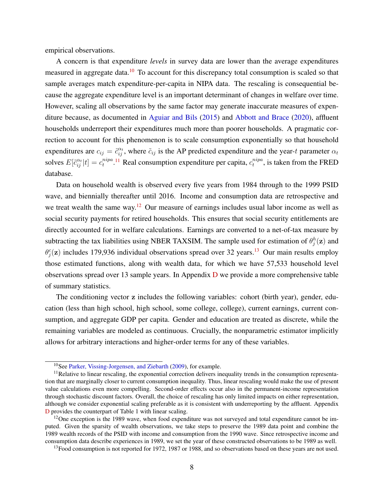empirical observations.

A concern is that expenditure *levels* in survey data are lower than the average expenditures measured in aggregate data.<sup>[10](#page-8-0)</sup> To account for this discrepancy total consumption is scaled so that sample averages match expenditure-per-capita in NIPA data. The rescaling is consequential because the aggregate expenditure level is an important determinant of changes in welfare over time. However, scaling all observations by the same factor may generate inaccurate measures of expenditure because, as documented in [Aguiar and Bils](#page-41-2) [\(2015\)](#page-41-2) and [Abbott and Brace](#page-41-13) [\(2020\)](#page-41-13), affluent households underreport their expenditures much more than poorer households. A pragmatic correction to account for this phenomenon is to scale consumption exponentially so that household expenditures are  $c_{ij} = \tilde{c}_{ij}^{\alpha_t}$ , where  $\tilde{c}_{ij}$  is the AP predicted expenditure and the year-t parameter  $\alpha_t$ solves  $E[\tilde{c}_{ij}^{\alpha_t}|t] = c_t^{nipa}$  $t_t^{nipa}$ .<sup>[11](#page-8-1)</sup> Real consumption expenditure per capita,  $c_t^{nipa}$  $t_t^{nipa}$ , is taken from the FRED database.

Data on household wealth is observed every five years from 1984 through to the 1999 PSID wave, and biennially thereafter until 2016. Income and consumption data are retrospective and we treat wealth the same way.<sup>[12](#page-8-2)</sup> Our measure of earnings includes usual labor income as well as social security payments for retired households. This ensures that social security entitlements are directly accounted for in welfare calculations. Earnings are converted to a net-of-tax measure by subtracting the tax liabilities using NBER TAXSIM. The sample used for estimation of  $\theta_j^h(z)$  and  $\theta_j^c(z)$  includes 179,936 individual observations spread over 32 years.<sup>[13](#page-8-3)</sup> Our main results employ those estimated functions, along with wealth data, for which we have 57,533 household level observations spread over 13 sample years. In Appendix [D](#page-40-0) we provide a more comprehensive table of summary statistics.

The conditioning vector z includes the following variables: cohort (birth year), gender, education (less than high school, high school, some college, college), current earnings, current consumption, and aggregate GDP per capita. Gender and education are treated as discrete, while the remaining variables are modeled as continuous. Crucially, the nonparametric estimator implicitly allows for arbitrary interactions and higher-order terms for any of these variables.

<span id="page-8-1"></span><span id="page-8-0"></span><sup>10</sup>See [Parker, Vissing-Jorgensen, and Ziebarth](#page-42-15) [\(2009\)](#page-42-15), for example.

<sup>&</sup>lt;sup>11</sup>Relative to linear rescaling, the exponential correction delivers inequality trends in the consumption representation that are marginally closer to current consumption inequality. Thus, linear rescaling would make the use of present value calculations even more compelling. Second-order effects occur also in the permanent-income representation through stochastic discount factors. Overall, the choice of rescaling has only limited impacts on either representation, although we consider exponential scaling preferable as it is consistent with underreporting by the affluent. Appendix [D](#page-40-0) provides the counterpart of Table 1 with linear scaling.

<span id="page-8-2"></span> $12$ One exception is the 1989 wave, when food expenditure was not surveyed and total expenditure cannot be imputed. Given the sparsity of wealth observations, we take steps to preserve the 1989 data point and combine the 1989 wealth records of the PSID with income and consumption from the 1990 wave. Since retrospective income and consumption data describe experiences in 1989, we set the year of these constructed observations to be 1989 as well.

<span id="page-8-3"></span><sup>&</sup>lt;sup>13</sup>Food consumption is not reported for 1972, 1987 or 1988, and so observations based on these years are not used.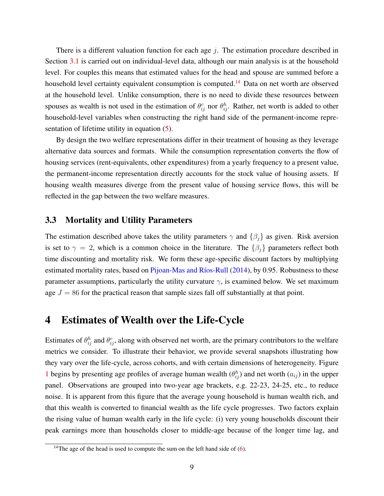There is a different valuation function for each age  $j$ . The estimation procedure described in Section [3.1](#page-5-3) is carried out on individual-level data, although our main analysis is at the household level. For couples this means that estimated values for the head and spouse are summed before a household level certainty equivalent consumption is computed.<sup>[14](#page-9-0)</sup> Data on net worth are observed at the household level. Unlike consumption, there is no need to divide these resources between spouses as wealth is not used in the estimation of  $\theta_{ij}^c$  nor  $\theta_{ij}^h$ . Rather, net worth is added to other household-level variables when constructing the right hand side of the permanent-income representation of lifetime utility in equation [\(5\)](#page-5-1).

By design the two welfare representations differ in their treatment of housing as they leverage alternative data sources and formats. While the consumption representation converts the flow of housing services (rent-equivalents, other expenditures) from a yearly frequency to a present value, the permanent-income representation directly accounts for the stock value of housing assets. If housing wealth measures diverge from the present value of housing service flows, this will be reflected in the gap between the two welfare measures.

#### 3.3 Mortality and Utility Parameters

The estimation described above takes the utility parameters  $\gamma$  and  $\{\beta_i\}$  as given. Risk aversion is set to  $\gamma = 2$ , which is a common choice in the literature. The  $\{\beta_i\}$  parameters reflect both time discounting and mortality risk. We form these age-specific discount factors by multiplying estimated mortality rates, based on Pijoan-Mas and Ríos-Rull [\(2014\)](#page-42-16), by 0.95. Robustness to these parameter assumptions, particularly the utility curvature  $\gamma$ , is examined below. We set maximum age  $J = 86$  for the practical reason that sample sizes fall off substantially at that point.

### 4 Estimates of Wealth over the Life-Cycle

Estimates of  $\theta_{ij}^h$  and  $\theta_{ij}^c$ , along with observed net worth, are the primary contributors to the welfare metrics we consider. To illustrate their behavior, we provide several snapshots illustrating how they vary over the life-cycle, across cohorts, and with certain dimensions of heterogeneity. Figure [1](#page-11-0) begins by presenting age profiles of average human wealth  $(\theta_{ij}^h)$  and net worth  $(a_{ij})$  in the upper panel. Observations are grouped into two-year age brackets, e.g. 22-23, 24-25, etc., to reduce noise. It is apparent from this figure that the average young household is human wealth rich, and that this wealth is converted to financial wealth as the life cycle progresses. Two factors explain the rising value of human wealth early in the life cycle: (i) very young households discount their peak earnings more than households closer to middle-age because of the longer time lag, and

<span id="page-9-0"></span><sup>&</sup>lt;sup>14</sup>The age of the head is used to compute the sum on the left hand side of  $(6)$ .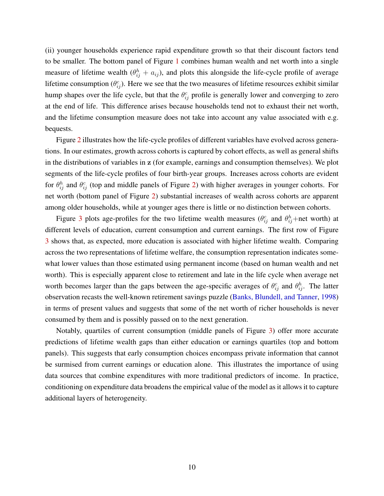(ii) younger households experience rapid expenditure growth so that their discount factors tend to be smaller. The bottom panel of Figure [1](#page-11-0) combines human wealth and net worth into a single measure of lifetime wealth  $(\theta_{ij}^h + a_{ij})$ , and plots this alongside the life-cycle profile of average lifetime consumption  $(\theta_{ij}^c)$ . Here we see that the two measures of lifetime resources exhibit similar hump shapes over the life cycle, but that the  $\theta_{ij}^c$  profile is generally lower and converging to zero at the end of life. This difference arises because households tend not to exhaust their net worth, and the lifetime consumption measure does not take into account any value associated with e.g. bequests.

Figure [2](#page-12-0) illustrates how the life-cycle profiles of different variables have evolved across generations. In our estimates, growth across cohorts is captured by cohort effects, as well as general shifts in the distributions of variables in z (for example, earnings and consumption themselves). We plot segments of the life-cycle profiles of four birth-year groups. Increases across cohorts are evident for  $\theta_{ij}^h$  and  $\theta_{ij}^c$  (top and middle panels of Figure [2\)](#page-12-0) with higher averages in younger cohorts. For net worth (bottom panel of Figure [2\)](#page-12-0) substantial increases of wealth across cohorts are apparent among older households, while at younger ages there is little or no distinction between cohorts.

Figure [3](#page-13-0) plots age-profiles for the two lifetime wealth measures  $(\theta_{ij}^c$  and  $\theta_{ij}^h$ +net worth) at different levels of education, current consumption and current earnings. The first row of Figure [3](#page-13-0) shows that, as expected, more education is associated with higher lifetime wealth. Comparing across the two representations of lifetime welfare, the consumption representation indicates somewhat lower values than those estimated using permanent income (based on human wealth and net worth). This is especially apparent close to retirement and late in the life cycle when average net worth becomes larger than the gaps between the age-specific averages of  $\theta_{ij}^c$  and  $\theta_{ij}^h$ . The latter observation recasts the well-known retirement savings puzzle [\(Banks, Blundell, and Tanner,](#page-41-14) [1998\)](#page-41-14) in terms of present values and suggests that some of the net worth of richer households is never consumed by them and is possibly passed on to the next generation.

Notably, quartiles of current consumption (middle panels of Figure [3\)](#page-13-0) offer more accurate predictions of lifetime wealth gaps than either education or earnings quartiles (top and bottom panels). This suggests that early consumption choices encompass private information that cannot be surmised from current earnings or education alone. This illustrates the importance of using data sources that combine expenditures with more traditional predictors of income. In practice, conditioning on expenditure data broadens the empirical value of the model as it allows it to capture additional layers of heterogeneity.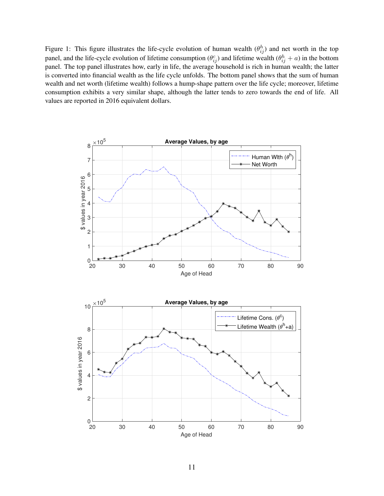<span id="page-11-0"></span>Figure 1: This figure illustrates the life-cycle evolution of human wealth  $(\theta_{ij}^h)$  and net worth in the top panel, and the life-cycle evolution of lifetime consumption  $(\theta_{ij}^c)$  and lifetime wealth  $(\theta_{ij}^h + a)$  in the bottom panel. The top panel illustrates how, early in life, the average household is rich in human wealth; the latter is converted into financial wealth as the life cycle unfolds. The bottom panel shows that the sum of human wealth and net worth (lifetime wealth) follows a hump-shape pattern over the life cycle; moreover, lifetime consumption exhibits a very similar shape, although the latter tends to zero towards the end of life. All values are reported in 2016 equivalent dollars.

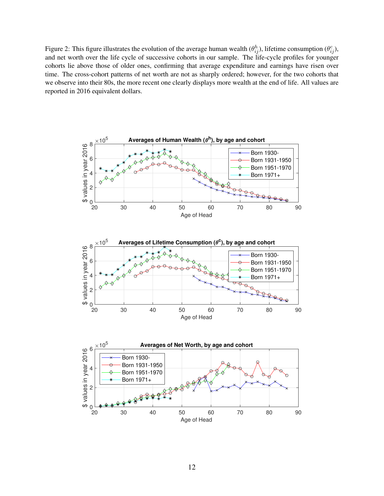<span id="page-12-0"></span>Figure 2: This figure illustrates the evolution of the average human wealth  $(\theta_{ij}^h)$ , lifetime consumption  $(\theta_{ij}^c)$ , and net worth over the life cycle of successive cohorts in our sample. The life-cycle profiles for younger cohorts lie above those of older ones, confirming that average expenditure and earnings have risen over time. The cross-cohort patterns of net worth are not as sharply ordered; however, for the two cohorts that we observe into their 80s, the more recent one clearly displays more wealth at the end of life. All values are reported in 2016 equivalent dollars.

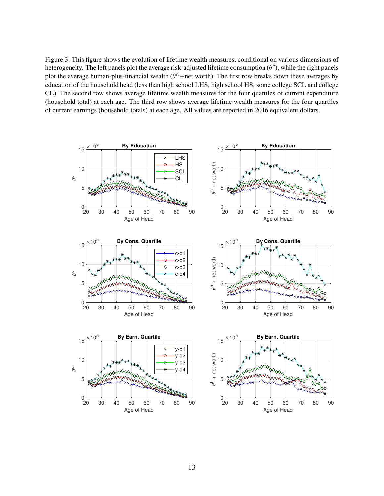<span id="page-13-0"></span>Figure 3: This figure shows the evolution of lifetime wealth measures, conditional on various dimensions of heterogeneity. The left panels plot the average risk-adjusted lifetime consumption  $(\theta^c)$ , while the right panels plot the average human-plus-financial wealth ( $\theta^h$ +net worth). The first row breaks down these averages by education of the household head (less than high school LHS, high school HS, some college SCL and college CL). The second row shows average lifetime wealth measures for the four quartiles of current expenditure (household total) at each age. The third row shows average lifetime wealth measures for the four quartiles of current earnings (household totals) at each age. All values are reported in 2016 equivalent dollars.

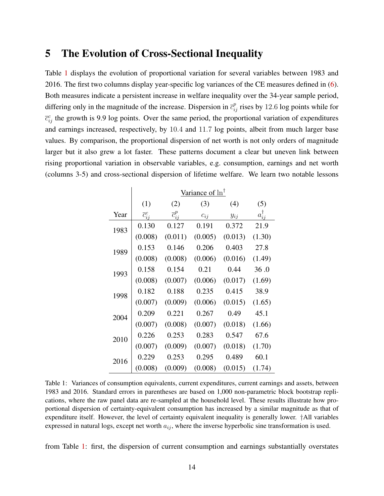### <span id="page-14-0"></span>5 The Evolution of Cross-Sectional Inequality

Table [1](#page-14-1) displays the evolution of proportional variation for several variables between 1983 and 2016. The first two columns display year-specific log variances of the CE measures defined in [\(6\)](#page-5-4). Both measures indicate a persistent increase in welfare inequality over the 34-year sample period, differing only in the magnitude of the increase. Dispersion in  $\bar{c}_{ij}^p$  rises by 12.6 log points while for  $\bar{c}_{ij}^c$  the growth is 9.9 log points. Over the same period, the proportional variation of expenditures and earnings increased, respectively, by 10.4 and 11.7 log points, albeit from much larger base values. By comparison, the proportional dispersion of net worth is not only orders of magnitude larger but it also grew a lot faster. These patterns document a clear but uneven link between rising proportional variation in observable variables, e.g. consumption, earnings and net worth (columns 3-5) and cross-sectional dispersion of lifetime welfare. We learn two notable lessons

<span id="page-14-1"></span>

|      | Variance of $\ln$ <sup><math>\uparrow</math></sup> |                       |          |          |                    |  |  |
|------|----------------------------------------------------|-----------------------|----------|----------|--------------------|--|--|
|      | (1)                                                | (2)                   | (3)      | (4)      | (5)                |  |  |
| Year | $\overline{c}_{ii}^c$                              | $\overline{c}_{ii}^p$ | $c_{ij}$ | $y_{ij}$ | $a_{ii}^{\dagger}$ |  |  |
| 1983 | 0.130                                              | 0.127                 | 0.191    | 0.372    | 21.9               |  |  |
|      | (0.008)                                            | (0.011)               | (0.005)  | (0.013)  | (1.30)             |  |  |
| 1989 | 0.153                                              | 0.146                 | 0.206    | 0.403    | 27.8               |  |  |
|      | (0.008)                                            | (0.008)               | (0.006)  | (0.016)  | (1.49)             |  |  |
| 1993 | 0.158                                              | 0.154                 | 0.21     | 0.44     | 36.0               |  |  |
|      | (0.008)                                            | (0.007)               | (0.006)  | (0.017)  | (1.69)             |  |  |
| 1998 | 0.182                                              | 0.188                 | 0.235    | 0.415    | 38.9               |  |  |
|      | (0.007)                                            | (0.009)               | (0.006)  | (0.015)  | (1.65)             |  |  |
| 2004 | 0.209                                              | 0.221                 | 0.267    | 0.49     | 45.1               |  |  |
|      | (0.007)                                            | (0.008)               | (0.007)  | (0.018)  | (1.66)             |  |  |
| 2010 | 0.226                                              | 0.253                 | 0.283    | 0.547    | 67.6               |  |  |
|      | (0.007)                                            | (0.009)               | (0.007)  | (0.018)  | (1.70)             |  |  |
| 2016 | 0.229                                              | 0.253                 | 0.295    | 0.489    | 60.1               |  |  |
|      | (0.008)                                            | (0.009)               | (0.008)  | (0.015)  | (1.74)             |  |  |

Table 1: Variances of consumption equivalents, current expenditures, current earnings and assets, between 1983 and 2016. Standard errors in parentheses are based on 1,000 non-parametric block bootstrap replications, where the raw panel data are re-sampled at the household level. These results illustrate how proportional dispersion of certainty-equivalent consumption has increased by a similar magnitude as that of expenditure itself. However, the level of certainty equivalent inequality is generally lower. †All variables expressed in natural logs, except net worth  $a_{ij}$ , where the inverse hyperbolic sine transformation is used.

from Table [1:](#page-14-1) first, the dispersion of current consumption and earnings substantially overstates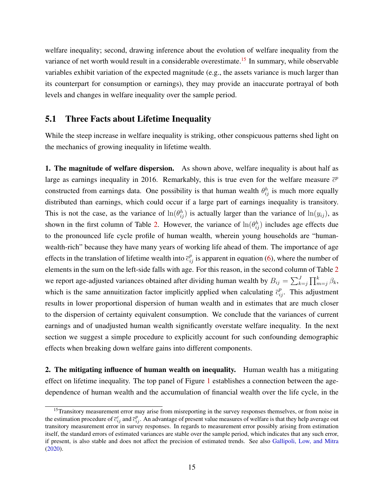welfare inequality; second, drawing inference about the evolution of welfare inequality from the variance of net worth would result in a considerable overestimate.<sup>[15](#page-15-0)</sup> In summary, while observable variables exhibit variation of the expected magnitude (e.g., the assets variance is much larger than its counterpart for consumption or earnings), they may provide an inaccurate portrayal of both levels and changes in welfare inequality over the sample period.

#### 5.1 Three Facts about Lifetime Inequality

While the steep increase in welfare inequality is striking, other conspicuous patterns shed light on the mechanics of growing inequality in lifetime wealth.

1. The magnitude of welfare dispersion. As shown above, welfare inequality is about half as large as earnings inequality in 2016. Remarkably, this is true even for the welfare measure  $\bar{c}^p$ constructed from earnings data. One possibility is that human wealth  $\theta_{ij}^h$  is much more equally distributed than earnings, which could occur if a large part of earnings inequality is transitory. This is not the case, as the variance of  $\ln(\theta_{ij}^h)$  is actually larger than the variance of  $\ln(y_{ij})$ , as shown in the first column of Table [2.](#page-16-0) However, the variance of  $\ln(\theta_{ij}^h)$  includes age effects due to the pronounced life cycle profile of human wealth, wherein young households are "humanwealth-rich" because they have many years of working life ahead of them. The importance of age effects in the translation of lifetime wealth into  $\bar{c}_{ij}^p$  is apparent in equation [\(6\)](#page-5-4), where the number of elements in the sum on the left-side falls with age. For this reason, in the second column of Table [2](#page-16-0) we report age-adjusted variances obtained after dividing human wealth by  $B_{ij} = \sum_{k=j}^{J} \prod_{m=j}^{k} \beta_k$ , which is the same annuitization factor implicitly applied when calculating  $\bar{c}_{ij}^p$ . This adjustment results in lower proportional dispersion of human wealth and in estimates that are much closer to the dispersion of certainty equivalent consumption. We conclude that the variances of current earnings and of unadjusted human wealth significantly overstate welfare inequality. In the next section we suggest a simple procedure to explicitly account for such confounding demographic effects when breaking down welfare gains into different components.

2. The mitigating influence of human wealth on inequality. Human wealth has a mitigating effect on lifetime inequality. The top panel of Figure [1](#page-11-0) establishes a connection between the agedependence of human wealth and the accumulation of financial wealth over the life cycle, in the

<span id="page-15-0"></span><sup>&</sup>lt;sup>15</sup>Transitory measurement error may arise from misreporting in the survey responses themselves, or from noise in the estimation procedure of  $\bar{c}_{ij}^c$  and  $\bar{c}_{ij}^p$ . An advantage of present value measures of welfare is that they help average out transitory measurement error in survey responses. In regards to measurement error possibly arising from estimation itself, the standard errors of estimated variances are stable over the sample period, which indicates that any such error, if present, is also stable and does not affect the precision of estimated trends. See also [Gallipoli, Low, and Mitra](#page-42-17) [\(2020\)](#page-42-17).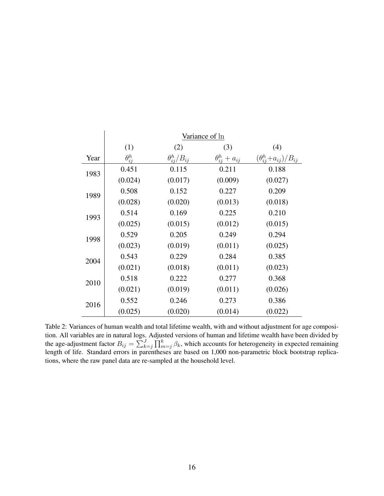<span id="page-16-0"></span>

|      | Variance of ln  |                        |                          |                                 |  |  |  |
|------|-----------------|------------------------|--------------------------|---------------------------------|--|--|--|
|      | (1)             | (2)                    | (3)                      | (4)                             |  |  |  |
| Year | $\theta_{ii}^h$ | $\theta_{ii}^h/B_{ii}$ | $\theta_{ij}^h + a_{ij}$ | $(\theta_{ij}^h+a_{ij})/B_{ij}$ |  |  |  |
| 1983 | 0.451           | 0.115                  | 0.211                    | 0.188                           |  |  |  |
|      | (0.024)         | (0.017)                | (0.009)                  | (0.027)                         |  |  |  |
| 1989 | 0.508           | 0.152                  | 0.227                    | 0.209                           |  |  |  |
|      | (0.028)         | (0.020)                | (0.013)                  | (0.018)                         |  |  |  |
| 1993 | 0.514           | 0.169                  | 0.225                    | 0.210                           |  |  |  |
|      | (0.025)         | (0.015)                | (0.012)                  | (0.015)                         |  |  |  |
| 1998 | 0.529           | 0.205                  | 0.249                    | 0.294                           |  |  |  |
|      | (0.023)         | (0.019)                | (0.011)                  | (0.025)                         |  |  |  |
| 2004 | 0.543           | 0.229                  | 0.284                    | 0.385                           |  |  |  |
|      | (0.021)         | (0.018)                | (0.011)                  | (0.023)                         |  |  |  |
| 2010 | 0.518           | 0.222                  | 0.277                    | 0.368                           |  |  |  |
|      | (0.021)         | (0.019)                | (0.011)                  | (0.026)                         |  |  |  |
| 2016 | 0.552           | 0.246                  | 0.273                    | 0.386                           |  |  |  |
|      | (0.025)         | (0.020)                | (0.014)                  | (0.022)                         |  |  |  |

Table 2: Variances of human wealth and total lifetime wealth, with and without adjustment for age composition. All variables are in natural logs. Adjusted versions of human and lifetime wealth have been divided by the age-adjustment factor  $B_{ij} = \sum_{k=j}^{J} \prod_{m=j}^{k} \beta_k$ , which accounts for heterogeneity in expected remaining length of life. Standard errors in parentheses are based on 1,000 non-parametric block bootstrap replications, where the raw panel data are re-sampled at the household level.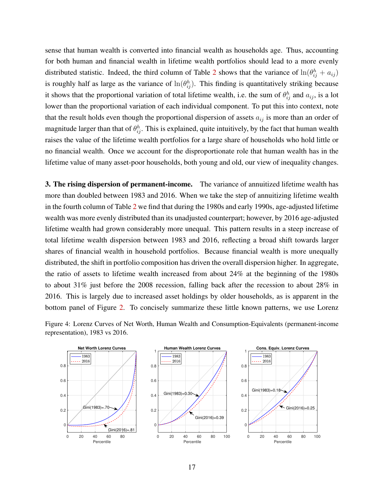sense that human wealth is converted into financial wealth as households age. Thus, accounting for both human and financial wealth in lifetime wealth portfolios should lead to a more evenly distributed statistic. Indeed, the third column of Table [2](#page-16-0) shows that the variance of  $\ln(\theta_{ij}^h + a_{ij})$ is roughly half as large as the variance of  $\ln(\theta_{ij}^h)$ . This finding is quantitatively striking because it shows that the proportional variation of total lifetime wealth, i.e. the sum of  $\theta_{ij}^h$  and  $a_{ij}$ , is a lot lower than the proportional variation of each individual component. To put this into context, note that the result holds even though the proportional dispersion of assets  $a_{ij}$  is more than an order of magnitude larger than that of  $\theta_{ij}^h$ . This is explained, quite intuitively, by the fact that human wealth raises the value of the lifetime wealth portfolios for a large share of households who hold little or no financial wealth. Once we account for the disproportionate role that human wealth has in the lifetime value of many asset-poor households, both young and old, our view of inequality changes.

3. The rising dispersion of permanent-income. The variance of annuitized lifetime wealth has more than doubled between 1983 and 2016. When we take the step of annuitizing lifetime wealth in the fourth column of Table [2](#page-16-0) we find that during the 1980s and early 1990s, age-adjusted lifetime wealth was more evenly distributed than its unadjusted counterpart; however, by 2016 age-adjusted lifetime wealth had grown considerably more unequal. This pattern results in a steep increase of total lifetime wealth dispersion between 1983 and 2016, reflecting a broad shift towards larger shares of financial wealth in household portfolios. Because financial wealth is more unequally distributed, the shift in portfolio composition has driven the overall dispersion higher. In aggregate, the ratio of assets to lifetime wealth increased from about 24% at the beginning of the 1980s to about 31% just before the 2008 recession, falling back after the recession to about 28% in 2016. This is largely due to increased asset holdings by older households, as is apparent in the bottom panel of Figure [2.](#page-12-0) To concisely summarize these little known patterns, we use Lorenz



<span id="page-17-0"></span>Figure 4: Lorenz Curves of Net Worth, Human Wealth and Consumption-Equivalents (permanent-income representation), 1983 vs 2016.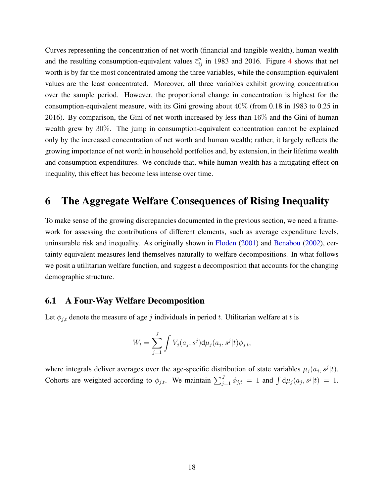Curves representing the concentration of net worth (financial and tangible wealth), human wealth and the resulting consumption-equivalent values  $\bar{c}_{ij}^p$  in 1983 and 2016. Figure [4](#page-17-0) shows that net worth is by far the most concentrated among the three variables, while the consumption-equivalent values are the least concentrated. Moreover, all three variables exhibit growing concentration over the sample period. However, the proportional change in concentration is highest for the consumption-equivalent measure, with its Gini growing about 40% (from 0.18 in 1983 to 0.25 in 2016). By comparison, the Gini of net worth increased by less than 16% and the Gini of human wealth grew by 30%. The jump in consumption-equivalent concentration cannot be explained only by the increased concentration of net worth and human wealth; rather, it largely reflects the growing importance of net worth in household portfolios and, by extension, in their lifetime wealth and consumption expenditures. We conclude that, while human wealth has a mitigating effect on inequality, this effect has become less intense over time.

## <span id="page-18-0"></span>6 The Aggregate Welfare Consequences of Rising Inequality

To make sense of the growing discrepancies documented in the previous section, we need a framework for assessing the contributions of different elements, such as average expenditure levels, uninsurable risk and inequality. As originally shown in [Floden](#page-42-11) [\(2001\)](#page-42-11) and [Benabou](#page-41-15) [\(2002\)](#page-41-15), certainty equivalent measures lend themselves naturally to welfare decompositions. In what follows we posit a utilitarian welfare function, and suggest a decomposition that accounts for the changing demographic structure.

#### 6.1 A Four-Way Welfare Decomposition

Let  $\phi_{j,t}$  denote the measure of age j individuals in period t. Utilitarian welfare at t is

$$
W_t = \sum_{j=1}^J \int V_j(a_j, s^j) d\mu_j(a_j, s^j|t) \phi_{j,t},
$$

where integrals deliver averages over the age-specific distribution of state variables  $\mu_j(a_j, s^j | t)$ . Cohorts are weighted according to  $\phi_{j,t}$ . We maintain  $\sum_{j=1}^{J} \phi_{j,t} = 1$  and  $\int d\mu_j (a_j, s^j | t) = 1$ .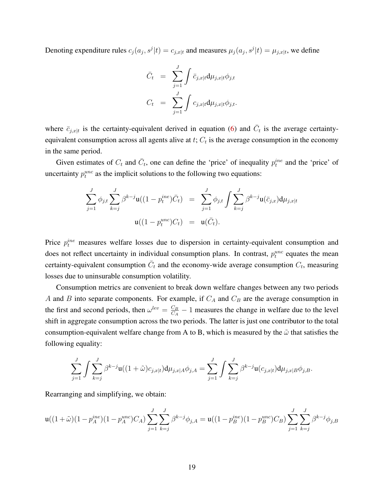Denoting expenditure rules  $c_j(a_j, s^j | t) = c_{j,x|t}$  and measures  $\mu_j(a_j, s^j | t) = \mu_{j,x|t}$ , we define

$$
\bar{C}_t = \sum_{j=1}^J \int \bar{c}_{j,x|t} d\mu_{j,x|t} \phi_{j,t}
$$

$$
C_t = \sum_{j=1}^J \int c_{j,x|t} d\mu_{j,x|t} \phi_{j,t}.
$$

where  $\bar{c}_{j,x|t}$  is the certainty-equivalent derived in equation [\(6\)](#page-5-4) and  $\bar{C}_t$  is the average certaintyequivalent consumption across all agents alive at  $t$ ;  $C_t$  is the average consumption in the economy in the same period.

Given estimates of  $C_t$  and  $\overline{C}_t$ , one can define the 'price' of inequality  $p_t^{ine}$  and the 'price' of uncertainty  $p_t^{unc}$  as the implicit solutions to the following two equations:

$$
\sum_{j=1}^{J} \phi_{j,t} \sum_{k=j}^{J} \beta^{k-j} \mathbf{u}((1-p_t^{ine})\bar{C}_t) = \sum_{j=1}^{J} \phi_{j,t} \int \sum_{k=j}^{J} \beta^{k-j} \mathbf{u}(\bar{c}_{j,x}) d\mu_{j,x|t}
$$

$$
\mathbf{u}((1-p_t^{unc})C_t) = \mathbf{u}(\bar{C}_t).
$$

Price  $p_t^{ine}$  measures welfare losses due to dispersion in certainty-equivalent consumption and does not reflect uncertainty in individual consumption plans. In contrast,  $p_t^{unc}$  equates the mean certainty-equivalent consumption  $\bar{C}_t$  and the economy-wide average consumption  $C_t$ , measuring losses due to uninsurable consumption volatility.

Consumption metrics are convenient to break down welfare changes between any two periods A and B into separate components. For example, if  $C_A$  and  $C_B$  are the average consumption in the first and second periods, then  $\omega^{lev} = \frac{C_B}{C_A}$  $\frac{C_B}{C_A} - 1$  measures the change in welfare due to the level shift in aggregate consumption across the two periods. The latter is just one contributor to the total consumption-equivalent welfare change from A to B, which is measured by the  $\tilde{\omega}$  that satisfies the following equality:

$$
\sum_{j=1}^J \int \sum_{k=j}^J \beta^{k-j} \mathbf{u}((1+\tilde{\omega})c_{j,x|t}) d\mu_{j,x|A} \phi_{j,A} = \sum_{j=1}^J \int \sum_{k=j}^J \beta^{k-j} \mathbf{u}(c_{j,x|t}) d\mu_{j,x|B} \phi_{j,B}.
$$

Rearranging and simplifying, we obtain:

$$
\mathbf{u}((1+\tilde{\omega})(1-p_A^{ine})(1-p_A^{une})C_A)\sum_{j=1}^J\sum_{k=j}^J\beta^{k-j}\phi_{j,A}=\mathbf{u}((1-p_B^{ine})(1-p_B^{une})C_B)\sum_{j=1}^J\sum_{k=j}^J\beta^{k-j}\phi_{j,B}
$$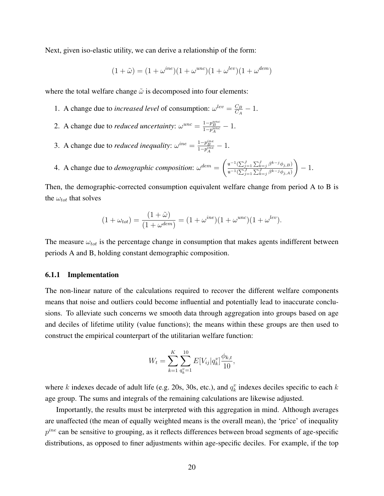Next, given iso-elastic utility, we can derive a relationship of the form:

$$
(1 + \tilde{\omega}) = (1 + \omega^{ine})(1 + \omega^{unc})(1 + \omega^{lev})(1 + \omega^{dem})
$$

where the total welfare change  $\tilde{\omega}$  is decomposed into four elements:

- 1. A change due to *increased level* of consumption:  $\omega^{lev} = \frac{C_B}{C_A}$  $\frac{C_B}{C_A}-1$ .
- 2. A change due to *reduced uncertainty*:  $\omega^{unc} = \frac{1-p_B^{unc}}{1-p_A^{unc}} 1$ .
- 3. A change due to *reduced inequality*:  $\omega^{ine} = \frac{1-p_B^{ine}}{1-p_A^{ine}} 1$ .

4. A change due to *demoographic composition*: 
$$
\omega^{dem} = \left(\frac{\mathbf{u}^{-1}(\sum_{j=1}^{J}\sum_{k=j}^{J}\beta^{k-j}\phi_{j,B})}{\mathbf{u}^{-1}(\sum_{j=1}^{J}\sum_{k=j}^{J}\beta^{k-j}\phi_{j,A})}\right) - 1.
$$

Then, the demographic-corrected consumption equivalent welfare change from period A to B is the  $\omega_{tot}$  that solves

$$
(1 + \omega_{tot}) = \frac{(1 + \tilde{\omega})}{(1 + \omega^{dem})} = (1 + \omega^{ine})(1 + \omega^{unc})(1 + \omega^{lev}).
$$

The measure  $\omega_{tot}$  is the percentage change in consumption that makes agents indifferent between periods A and B, holding constant demographic composition.

#### 6.1.1 Implementation

The non-linear nature of the calculations required to recover the different welfare components means that noise and outliers could become influential and potentially lead to inaccurate conclusions. To alleviate such concerns we smooth data through aggregation into groups based on age and deciles of lifetime utility (value functions); the means within these groups are then used to construct the empirical counterpart of the utilitarian welfare function:

$$
W_t = \sum_{k=1}^K \sum_{q_k^v=1}^{10} E[V_{ij}|q_k^v] \frac{\phi_{k,t}}{10},
$$

where k indexes decade of adult life (e.g. 20s, 30s, etc.), and  $q_k^v$  indexes deciles specific to each k age group. The sums and integrals of the remaining calculations are likewise adjusted.

Importantly, the results must be interpreted with this aggregation in mind. Although averages are unaffected (the mean of equally weighted means is the overall mean), the 'price' of inequality  $p^{ine}$  can be sensitive to grouping, as it reflects differences between broad segments of age-specific distributions, as opposed to finer adjustments within age-specific deciles. For example, if the top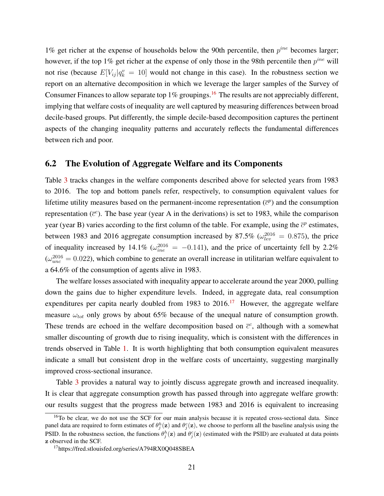1% get richer at the expense of households below the 90th percentile, then  $p^{ine}$  becomes larger; however, if the top 1% get richer at the expense of only those in the 98th percentile then  $p^{ine}$  will not rise (because  $E[V_{ij} | q_k^v = 10]$  would not change in this case). In the robustness section we report on an alternative decomposition in which we leverage the larger samples of the Survey of Consumer Finances to allow separate top  $1\%$  groupings.<sup>[16](#page-21-0)</sup> The results are not appreciably different, implying that welfare costs of inequality are well captured by measuring differences between broad decile-based groups. Put differently, the simple decile-based decomposition captures the pertinent aspects of the changing inequality patterns and accurately reflects the fundamental differences between rich and poor.

### 6.2 The Evolution of Aggregate Welfare and its Components

Table [3](#page-22-0) tracks changes in the welfare components described above for selected years from 1983 to 2016. The top and bottom panels refer, respectively, to consumption equivalent values for lifetime utility measures based on the permanent-income representation  $(\bar{c}^p)$  and the consumption representation  $(\bar{c}^c)$ . The base year (year A in the derivations) is set to 1983, while the comparison year (year B) varies according to the first column of the table. For example, using the  $\bar{c}^p$  estimates, between 1983 and 2016 aggregate consumption increased by 87.5% ( $\omega_{lev}^{2016} = 0.875$ ), the price of inequality increased by 14.1% ( $\omega_{ine}^{2016} = -0.141$ ), and the price of uncertainty fell by 2.2%  $(\omega_{unc}^{2016} = 0.022)$ , which combine to generate an overall increase in utilitarian welfare equivalent to a 64.6% of the consumption of agents alive in 1983.

The welfare losses associated with inequality appear to accelerate around the year 2000, pulling down the gains due to higher expenditure levels. Indeed, in aggregate data, real consumption expenditures per capita nearly doubled from 1983 to  $2016$ <sup>[17](#page-21-1)</sup> However, the aggregate welfare measure  $\omega_{tot}$  only grows by about 65% because of the unequal nature of consumption growth. These trends are echoed in the welfare decomposition based on  $\bar{c}^c$ , although with a somewhat smaller discounting of growth due to rising inequality, which is consistent with the differences in trends observed in Table [1.](#page-14-1) It is worth highlighting that both consumption equivalent measures indicate a small but consistent drop in the welfare costs of uncertainty, suggesting marginally improved cross-sectional insurance.

Table [3](#page-22-0) provides a natural way to jointly discuss aggregate growth and increased inequality. It is clear that aggregate consumption growth has passed through into aggregate welfare growth: our results suggest that the progress made between 1983 and 2016 is equivalent to increasing

<span id="page-21-0"></span><sup>&</sup>lt;sup>16</sup>To be clear, we do not use the SCF for our main analysis because it is repeated cross-sectional data. Since panel data are required to form estimates of  $\theta_j^h(z)$  and  $\theta_j^c(z)$ , we choose to perform all the baseline analysis using the PSID. In the robustness section, the functions  $\theta_j^h(z)$  and  $\theta_j^c(z)$  (estimated with the PSID) are evaluated at data points z observed in the SCF.

<span id="page-21-1"></span><sup>17</sup>https://fred.stlouisfed.org/series/A794RX0Q048SBEA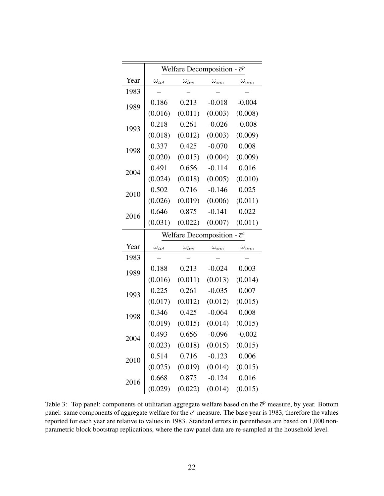<span id="page-22-0"></span>

|      | Welfare Decomposition - $\bar{c}^p$ |                                     |                |                |  |  |  |  |
|------|-------------------------------------|-------------------------------------|----------------|----------------|--|--|--|--|
| Year | $\omega_{tot}$                      | $\omega_{lev}$                      | $\omega_{ine}$ | $\omega_{unc}$ |  |  |  |  |
| 1983 |                                     |                                     |                |                |  |  |  |  |
| 1989 | 0.186                               | 0.213                               | $-0.018$       | $-0.004$       |  |  |  |  |
|      | (0.016)                             | (0.011)                             | (0.003)        | (0.008)        |  |  |  |  |
| 1993 | 0.218                               | 0.261                               | $-0.026$       | $-0.008$       |  |  |  |  |
|      | (0.018)                             | (0.012)                             | (0.003)        | (0.009)        |  |  |  |  |
| 1998 | 0.337                               | 0.425                               | $-0.070$       | 0.008          |  |  |  |  |
|      | (0.020)                             | (0.015)                             | (0.004)        | (0.009)        |  |  |  |  |
| 2004 | 0.491                               | 0.656                               | $-0.114$       | 0.016          |  |  |  |  |
|      | (0.024)                             | (0.018)                             | (0.005)        | (0.010)        |  |  |  |  |
| 2010 | 0.502                               | 0.716                               | $-0.146$       | 0.025          |  |  |  |  |
|      | (0.026)                             | (0.019)                             | (0.006)        | (0.011)        |  |  |  |  |
| 2016 | 0.646                               | 0.875                               | $-0.141$       | 0.022          |  |  |  |  |
|      | (0.031)                             | (0.022)                             | (0.007)        | (0.011)        |  |  |  |  |
|      |                                     | Welfare Decomposition - $\bar{c}^c$ |                |                |  |  |  |  |
| Year | $\omega_{tot}$                      | $\omega_{lev}$                      | $\omega_{ine}$ | $\omega_{unc}$ |  |  |  |  |
| 1983 |                                     |                                     |                |                |  |  |  |  |
| 1989 | 0.188                               | 0.213                               | $-0.024$       | 0.003          |  |  |  |  |
|      | (0.016)                             | (0.011)                             | (0.013)        |                |  |  |  |  |
|      |                                     |                                     |                | (0.014)        |  |  |  |  |
|      | 0.225                               | 0.261                               | $-0.035$       | 0.007          |  |  |  |  |
| 1993 | (0.017)                             | (0.012)                             | (0.012)        | (0.015)        |  |  |  |  |
|      | 0.346                               | 0.425                               | $-0.064$       | 0.008          |  |  |  |  |
| 1998 | (0.019)                             | (0.015)                             | (0.014)        | (0.015)        |  |  |  |  |
|      | 0.493                               | 0.656                               | $-0.096$       | $-0.002$       |  |  |  |  |
| 2004 | (0.023)                             | (0.018)                             | (0.015)        | (0.015)        |  |  |  |  |
|      | 0.514                               | 0.716                               | $-0.123$       | 0.006          |  |  |  |  |
| 2010 | (0.025)                             | (0.019)                             | (0.014)        | (0.015)        |  |  |  |  |
| 2016 | 0.668                               | 0.875                               | $-0.124$       | 0.016          |  |  |  |  |

Table 3: Top panel: components of utilitarian aggregate welfare based on the  $\bar{c}^p$  measure, by year. Bottom panel: same components of aggregate welfare for the  $\bar{c}^c$  measure. The base year is 1983, therefore the values reported for each year are relative to values in 1983. Standard errors in parentheses are based on 1,000 nonparametric block bootstrap replications, where the raw panel data are re-sampled at the household level.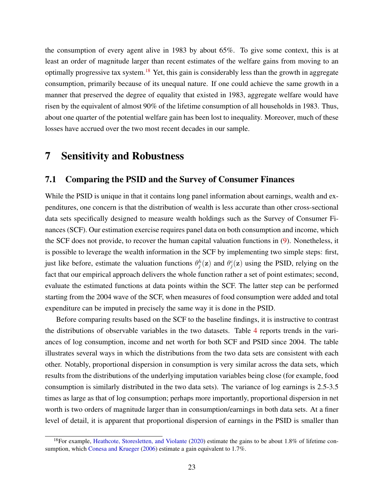the consumption of every agent alive in 1983 by about 65%. To give some context, this is at least an order of magnitude larger than recent estimates of the welfare gains from moving to an optimally progressive tax system.[18](#page-23-1) Yet, this gain is considerably less than the growth in aggregate consumption, primarily because of its unequal nature. If one could achieve the same growth in a manner that preserved the degree of equality that existed in 1983, aggregate welfare would have risen by the equivalent of almost 90% of the lifetime consumption of all households in 1983. Thus, about one quarter of the potential welfare gain has been lost to inequality. Moreover, much of these losses have accrued over the two most recent decades in our sample.

### <span id="page-23-0"></span>7 Sensitivity and Robustness

#### 7.1 Comparing the PSID and the Survey of Consumer Finances

While the PSID is unique in that it contains long panel information about earnings, wealth and expenditures, one concern is that the distribution of wealth is less accurate than other cross-sectional data sets specifically designed to measure wealth holdings such as the Survey of Consumer Finances (SCF). Our estimation exercise requires panel data on both consumption and income, which the SCF does not provide, to recover the human capital valuation functions in [\(9\)](#page-6-2). Nonetheless, it is possible to leverage the wealth information in the SCF by implementing two simple steps: first, just like before, estimate the valuation functions  $\theta_j^h(z)$  and  $\theta_j^c(z)$  using the PSID, relying on the fact that our empirical approach delivers the whole function rather a set of point estimates; second, evaluate the estimated functions at data points within the SCF. The latter step can be performed starting from the 2004 wave of the SCF, when measures of food consumption were added and total expenditure can be imputed in precisely the same way it is done in the PSID.

Before comparing results based on the SCF to the baseline findings, it is instructive to contrast the distributions of observable variables in the two datasets. Table [4](#page-24-0) reports trends in the variances of log consumption, income and net worth for both SCF and PSID since 2004. The table illustrates several ways in which the distributions from the two data sets are consistent with each other. Notably, proportional dispersion in consumption is very similar across the data sets, which results from the distributions of the underlying imputation variables being close (for example, food consumption is similarly distributed in the two data sets). The variance of log earnings is 2.5-3.5 times as large as that of log consumption; perhaps more importantly, proportional dispersion in net worth is two orders of magnitude larger than in consumption/earnings in both data sets. At a finer level of detail, it is apparent that proportional dispersion of earnings in the PSID is smaller than

<span id="page-23-1"></span><sup>&</sup>lt;sup>18</sup>For example, [Heathcote, Storesletten, and Violante](#page-42-18) [\(2020\)](#page-42-18) estimate the gains to be about 1.8% of lifetime consumption, which [Conesa and Krueger](#page-41-16) [\(2006\)](#page-41-16) estimate a gain equivalent to 1.7%.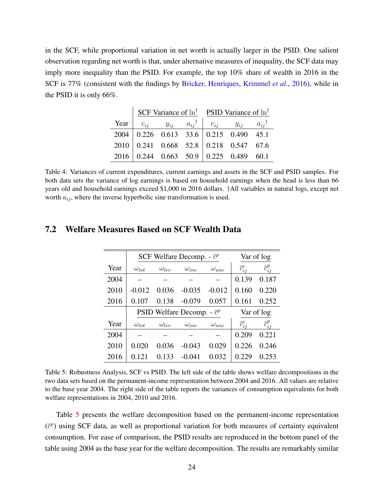<span id="page-24-0"></span>in the SCF, while proportional variation in net worth is actually larger in the PSID. One salient observation regarding net worth is that, under alternative measures of inequality, the SCF data may imply more inequality than the PSID. For example, the top 10% share of wealth in 2016 in the SCF is 77% (consistent with the findings by [Bricker, Henriques, Krimmel](#page-41-7) *et al.*, [2016\)](#page-41-7), while in the PSID it is only 66%.

|  |  |  |  | SCF Variance of $\ln^{\dagger}$ PSID Variance of $\ln^{\dagger}$                     |  |  |  |
|--|--|--|--|--------------------------------------------------------------------------------------|--|--|--|
|  |  |  |  | Year $c_{ij}$ $y_{ij}$ $a_{ij}$ <sup>†</sup> $c_{ij}$ $y_{ij}$ $a_{ij}$ <sup>†</sup> |  |  |  |
|  |  |  |  | $2004$   0.226 0.613 33.6   0.215 0.490 45.1                                         |  |  |  |
|  |  |  |  | 2010 0.241 0.668 52.8 0.218 0.547 67.6                                               |  |  |  |
|  |  |  |  | 2016 0.244 0.663 50.9 0.225 0.489 60.1                                               |  |  |  |

Table 4: Variances of current expenditures, current earnings and assets in the SCF and PSID samples. For both data sets the variance of log earnings is based on household earnings when the head is less than 66 years old and household earnings exceed \$1,000 in 2016 dollars. †All variables in natural logs, except net worth  $a_{ij}$ , where the inverse hyperbolic sine transformation is used.

|      | SCF Welfare Decomp. - $\bar{c}^p$ |                | Var of log                         |                |                       |                       |
|------|-----------------------------------|----------------|------------------------------------|----------------|-----------------------|-----------------------|
| Year | $\omega_{tot}$                    | $\omega_{len}$ | $\omega_{ine}$                     | $\omega_{unc}$ | $\overline{c}_{ii}^c$ | $\overline{c}_{ij}^p$ |
| 2004 |                                   |                |                                    |                | 0.139                 | 0.187                 |
| 2010 | $-0.012$                          | 0.036          | $-0.035$                           | $-0.012$       | 0.160                 | 0.220                 |
| 2016 | 0.107                             | 0.138          | $-0.079$                           | 0.057          | 0.161                 | 0.252                 |
|      |                                   |                | PSID Welfare Decomp. - $\bar{c}^p$ |                |                       | Var of log            |
| Year | $\omega_{tot}$                    | $\omega_{lev}$ | $\omega_{ine}$                     | $\omega_{unc}$ | $\overline{c}_{ii}^c$ | $\overline{c}_{ii}^p$ |
| 2004 |                                   |                |                                    |                | 0.209                 | 0.221                 |
| 2010 | 0.020                             | 0.036          | $-0.043$                           | 0.029          | 0.226                 | 0.246                 |
| 2016 | 0.121                             | 0.133          | $-0.041$                           | 0.032          | 0.229                 | 0.253                 |

#### <span id="page-24-1"></span>7.2 Welfare Measures Based on SCF Wealth Data

Table 5: Robustness Analysis, SCF vs PSID. The left side of the table shows welfare decompositions in the two data sets based on the permanent-income representation between 2004 and 2016. All values are relative to the base year 2004. The right side of the table reports the variances of consumption equivalents for both welfare representations in 2004, 2010 and 2016.

Table [5](#page-24-1) presents the welfare decomposition based on the permanent-income representation  $(\bar{c}^p)$  using SCF data, as well as proportional variation for both measures of certainty equivalent consumption. For ease of comparison, the PSID results are reproduced in the bottom panel of the table using 2004 as the base year for the welfare decomposition. The results are remarkably similar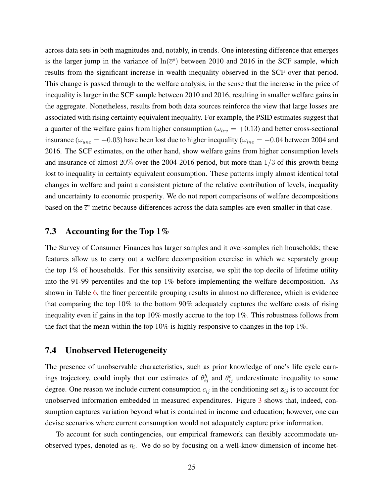across data sets in both magnitudes and, notably, in trends. One interesting difference that emerges is the larger jump in the variance of  $ln(\overline{c}^p)$  between 2010 and 2016 in the SCF sample, which results from the significant increase in wealth inequality observed in the SCF over that period. This change is passed through to the welfare analysis, in the sense that the increase in the price of inequality is larger in the SCF sample between 2010 and 2016, resulting in smaller welfare gains in the aggregate. Nonetheless, results from both data sources reinforce the view that large losses are associated with rising certainty equivalent inequality. For example, the PSID estimates suggest that a quarter of the welfare gains from higher consumption ( $\omega_{lev} = +0.13$ ) and better cross-sectional insurance ( $\omega_{unc} = +0.03$ ) have been lost due to higher inequality ( $\omega_{ine} = -0.04$  between 2004 and 2016. The SCF estimates, on the other hand, show welfare gains from higher consumption levels and insurance of almost 20% over the 2004-2016 period, but more than 1/3 of this growth being lost to inequality in certainty equivalent consumption. These patterns imply almost identical total changes in welfare and paint a consistent picture of the relative contribution of levels, inequality and uncertainty to economic prosperity. We do not report comparisons of welfare decompositions based on the  $\bar{c}^c$  metric because differences across the data samples are even smaller in that case.

### 7.3 Accounting for the Top 1%

The Survey of Consumer Finances has larger samples and it over-samples rich households; these features allow us to carry out a welfare decomposition exercise in which we separately group the top 1% of households. For this sensitivity exercise, we split the top decile of lifetime utility into the 91-99 percentiles and the top 1% before implementing the welfare decomposition. As shown in Table [6,](#page-26-0) the finer percentile grouping results in almost no difference, which is evidence that comparing the top 10% to the bottom 90% adequately captures the welfare costs of rising inequality even if gains in the top 10% mostly accrue to the top 1%. This robustness follows from the fact that the mean within the top  $10\%$  is highly responsive to changes in the top  $1\%$ .

#### 7.4 Unobserved Heterogeneity

The presence of unobservable characteristics, such as prior knowledge of one's life cycle earnings trajectory, could imply that our estimates of  $\theta_{ij}^h$  and  $\theta_{ij}^c$  underestimate inequality to some degree. One reason we include current consumption  $c_{ij}$  in the conditioning set  $z_{ij}$  is to account for unobserved information embedded in measured expenditures. Figure [3](#page-13-0) shows that, indeed, consumption captures variation beyond what is contained in income and education; however, one can devise scenarios where current consumption would not adequately capture prior information.

To account for such contingencies, our empirical framework can flexibly accommodate unobserved types, denoted as  $\eta_i$ . We do so by focusing on a well-know dimension of income het-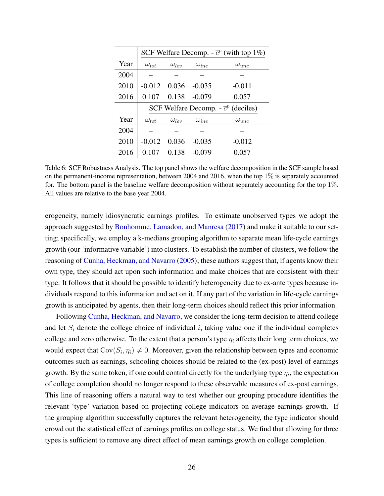<span id="page-26-0"></span>

|      | SCF Welfare Decomp. - $\bar{c}^p$ (with top 1%) |                |                |                                             |  |  |  |  |
|------|-------------------------------------------------|----------------|----------------|---------------------------------------------|--|--|--|--|
| Year | $\omega_{tot}$                                  | $\omega_{len}$ | $\omega_{ine}$ | $\omega_{unc}$                              |  |  |  |  |
| 2004 |                                                 |                |                |                                             |  |  |  |  |
| 2010 | $-0.012$                                        | 0.036          | $-0.035$       | $-0.011$                                    |  |  |  |  |
| 2016 | 0.107                                           | 0.138          | $-0.079$       | 0.057                                       |  |  |  |  |
|      |                                                 |                |                | SCF Welfare Decomp. - $\bar{c}^p$ (deciles) |  |  |  |  |
| Year | $\omega_{tot}$                                  | $\omega_{lev}$ | $\omega_{ine}$ | $\omega_{unc}$                              |  |  |  |  |
| 2004 |                                                 |                |                |                                             |  |  |  |  |
| 2010 | $-0.012$                                        | 0.036          | $-0.035$       | $-0.012$                                    |  |  |  |  |
| 2016 | 0.107                                           | 0.138          | $-0.079$       | 0.057                                       |  |  |  |  |

Table 6: SCF Robustness Analysis. The top panel shows the welfare decomposition in the SCF sample based on the permanent-income representation, between 2004 and 2016, when the top  $1\%$  is separately accounted for. The bottom panel is the baseline welfare decomposition without separately accounting for the top 1%. All values are relative to the base year 2004.

erogeneity, namely idiosyncratic earnings profiles. To estimate unobserved types we adopt the approach suggested by [Bonhomme, Lamadon, and Manresa](#page-41-17) [\(2017\)](#page-41-17) and make it suitable to our setting; specifically, we employ a k-medians grouping algorithm to separate mean life-cycle earnings growth (our 'informative variable') into clusters. To establish the number of clusters, we follow the reasoning of [Cunha, Heckman, and Navarro](#page-41-18) [\(2005\)](#page-41-18); these authors suggest that, if agents know their own type, they should act upon such information and make choices that are consistent with their type. It follows that it should be possible to identify heterogeneity due to ex-ante types because individuals respond to this information and act on it. If any part of the variation in life-cycle earnings growth is anticipated by agents, then their long-term choices should reflect this prior information.

Following [Cunha, Heckman, and Navarro,](#page-41-18) we consider the long-term decision to attend college and let  $S_i$  denote the college choice of individual i, taking value one if the individual completes college and zero otherwise. To the extent that a person's type  $\eta_i$  affects their long term choices, we would expect that  $Cov(S_i, \eta_i) \neq 0$ . Moreover, given the relationship between types and economic outcomes such as earnings, schooling choices should be related to the (ex-post) level of earnings growth. By the same token, if one could control directly for the underlying type  $\eta_i$ , the expectation of college completion should no longer respond to these observable measures of ex-post earnings. This line of reasoning offers a natural way to test whether our grouping procedure identifies the relevant 'type' variation based on projecting college indicators on average earnings growth. If the grouping algorithm successfully captures the relevant heterogeneity, the type indicator should crowd out the statistical effect of earnings profiles on college status. We find that allowing for three types is sufficient to remove any direct effect of mean earnings growth on college completion.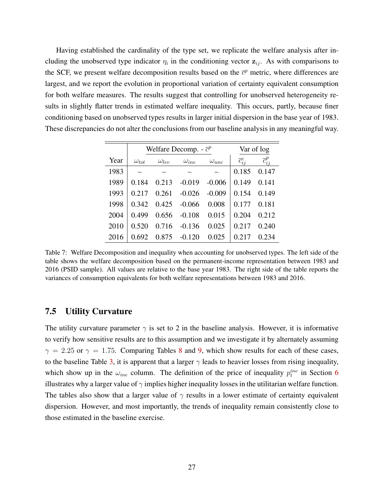Having established the cardinality of the type set, we replicate the welfare analysis after including the unobserved type indicator  $\eta_i$  in the conditioning vector  $z_{ij}$ . As with comparisons to the SCF, we present welfare decomposition results based on the  $\bar{c}^p$  metric, where differences are largest, and we report the evolution in proportional variation of certainty equivalent consumption for both welfare measures. The results suggest that controlling for unobserved heterogeneity results in slightly flatter trends in estimated welfare inequality. This occurs, partly, because finer conditioning based on unobserved types results in larger initial dispersion in the base year of 1983. These discrepancies do not alter the conclusions from our baseline analysis in any meaningful way.

|      |                | Welfare Decomp. - $\bar{c}^p$ |                | Var of log     |                       |                       |
|------|----------------|-------------------------------|----------------|----------------|-----------------------|-----------------------|
| Year | $\omega_{tot}$ | $\omega_{lev}$                | $\omega_{ine}$ | $\omega_{unc}$ | $\overline{c}_{ii}^c$ | $\overline{c}_{ij}^p$ |
| 1983 |                |                               |                |                | 0.185                 | 0.147                 |
| 1989 | 0.184          | 0.213                         | $-0.019$       | $-0.006$       | 0.149                 | 0.141                 |
| 1993 | 0.217          | 0.261                         | $-0.026$       | $-0.009$       | 0.154                 | 0.149                 |
| 1998 | 0.342          | 0.425                         | $-0.066$       | 0.008          | 0.177                 | 0.181                 |
| 2004 | 0.499          | 0.656                         | $-0.108$       | 0.015          | 0.204                 | 0.212                 |
| 2010 | 0.520          | 0.716                         | $-0.136$       | 0.025          | 0.217                 | 0.240                 |
| 2016 | .692           | 0.875                         | $-0.120$       | 0.025          |                       | 0.234                 |

Table 7: Welfare Decomposition and inequality when accounting for unobserved types. The left side of the table shows the welfare decomposition based on the permanent-income representation between 1983 and 2016 (PSID sample). All values are relative to the base year 1983. The right side of the table reports the variances of consumption equivalents for both welfare representations between 1983 and 2016.

#### 7.5 Utility Curvature

The utility curvature parameter  $\gamma$  is set to 2 in the baseline analysis. However, it is informative to verify how sensitive results are to this assumption and we investigate it by alternately assuming  $\gamma = 2.25$  or  $\gamma = 1.75$ . Comparing Tables [8](#page-28-0) and [9,](#page-28-1) which show results for each of these cases, to the baseline Table [3,](#page-22-0) it is apparent that a larger  $\gamma$  leads to heavier losses from rising inequality, which show up in the  $\omega_{ine}$  column. The definition of the price of inequality  $p_t^{ine}$  in Section [6](#page-18-0) illustrates why a larger value of  $\gamma$  implies higher inequality losses in the utilitarian welfare function. The tables also show that a larger value of  $\gamma$  results in a lower estimate of certainty equivalent dispersion. However, and most importantly, the trends of inequality remain consistently close to those estimated in the baseline exercise.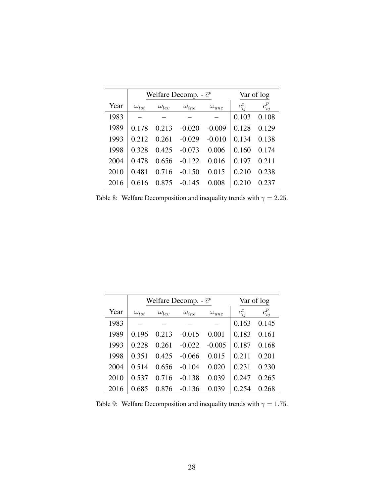<span id="page-28-0"></span>

|      |                |                | Welfare Decomp. - $\bar{c}^p$ |                |                       | Var of log            |
|------|----------------|----------------|-------------------------------|----------------|-----------------------|-----------------------|
| Year | $\omega_{tot}$ | $\omega_{lev}$ | $\omega_{ine}$                | $\omega_{unc}$ | $\overline{c}_{ij}^c$ | $\overline{c}_{ii}^p$ |
| 1983 |                |                |                               |                | 0.103                 | 0.108                 |
| 1989 | 0.178          | 0.213          | $-0.020$                      | $-0.009$       | 0.128                 | 0.129                 |
| 1993 | 0.212          | 0.261          | $-0.029$                      | $-0.010$       | 0.134                 | 0.138                 |
| 1998 | 0.328          | 0.425          | $-0.073$                      | 0.006          | 0.160                 | 0.174                 |
| 2004 | 0.478          | 0.656          | $-0.122$                      | 0.016          | 0.197                 | 0.211                 |
| 2010 | 0.481          | 0.716          | $-0.150$                      | 0.015          | 0.210                 | 0.238                 |
| 2016 | 0.616          | 0.875          | $-0.145$                      | 0.008          | 0.210                 | 0.237                 |

Table 8: Welfare Decomposition and inequality trends with  $\gamma = 2.25$ .

<span id="page-28-1"></span>

|      |                | Welfare Decomp. - $\bar{c}^p$ |                | Var of log     |                       |                       |
|------|----------------|-------------------------------|----------------|----------------|-----------------------|-----------------------|
| Year | $\omega_{tot}$ | $\omega_{lev}$                | $\omega_{ine}$ | $\omega_{unc}$ | $\overline{c}_{ii}^c$ | $\overline{c}_{ii}^p$ |
| 1983 |                |                               |                |                | 0.163                 | 0.145                 |
| 1989 | 0.196          | 0.213                         | $-0.015$       | 0.001          | 0.183                 | 0.161                 |
| 1993 | 0.228          | 0.261                         | $-0.022$       | $-0.005$       | 0.187                 | 0.168                 |
| 1998 | 0.351          | 0.425                         | $-0.066$       | 0.015          | 0.211                 | 0.201                 |
| 2004 | 0.514          | 0.656                         | $-0.104$       | 0.020          | 0.231                 | 0.230                 |
| 2010 | 0.537          | 0.716                         | $-0.138$       | 0.039          | 0.247                 | 0.265                 |
| 2016 | 0.685          | 0.876                         | $-0.136$       | 0.039          | 0.254                 | 0.268                 |

Table 9: Welfare Decomposition and inequality trends with  $\gamma = 1.75$ .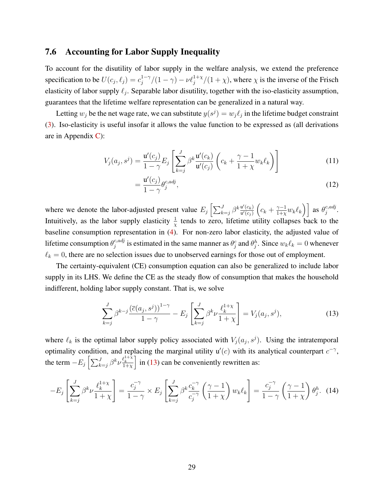#### 7.6 Accounting for Labor Supply Inequality

=

To account for the disutility of labor supply in the welfare analysis, we extend the preference specification to be  $U(c_j, \ell_j) = c_j^{1-\gamma}$  $j_j^{1-\gamma}/(1-\gamma) - \nu \ell_j^{1+\chi}/(1+\chi)$ , where  $\chi$  is the inverse of the Frisch elasticity of labor supply  $\ell_j$ . Separable labor disutility, together with the iso-elasticity assumption, guarantees that the lifetime welfare representation can be generalized in a natural way.

Letting  $w_j$  be the net wage rate, we can substitute  $y(s^j) = w_j \ell_j$  in the lifetime budget constraint [\(3\)](#page-4-2). Iso-elasticity is useful insofar it allows the value function to be expressed as (all derivations are in Appendix [C\)](#page-38-0):

$$
V_j(a_j, s^j) = \frac{\mathbf{u}'(c_j)}{1 - \gamma} E_j \left[ \sum_{k=j}^J \beta^k \frac{\mathbf{u}'(c_k)}{\mathbf{u}'(c_j)} \left( c_k + \frac{\gamma - 1}{1 + \chi} w_k \ell_k \right) \right]
$$
(11)

<span id="page-29-1"></span>
$$
=\frac{\mathbf{u}'(c_j)}{1-\gamma}\theta_j^{c,adj},\tag{12}
$$

where we denote the labor-adjusted present value  $E_j \left[ \sum_{k=j}^{J} \beta^k \frac{u'(c_k)}{u'(c_i)} \right]$  $\overline{\mathsf{u}'(c_j)}$  $(c_k + \frac{\gamma-1}{1+\gamma})$  $\left[\frac{\gamma-1}{1+\chi}w_k\ell_k\right)\right]$  as  $\theta_j^{c,adj}$  $_{j}^{c, aaj}.$ Intuitively, as the labor supply elasticity  $\frac{1}{x}$  tends to zero, lifetime utility collapses back to the baseline consumption representation in [\(4\)](#page-5-0). For non-zero labor elasticity, the adjusted value of lifetime consumption  $\theta_i^{c,adj}$  $j_i^{c,adj}$  is estimated in the same manner as  $\theta_j^c$  and  $\theta_j^h$ . Since  $w_k \ell_k = 0$  whenever  $\ell_k = 0$ , there are no selection issues due to unobserved earnings for those out of employment.

The certainty-equivalent (CE) consumption equation can also be generalized to include labor supply in its LHS. We define the CE as the steady flow of consumption that makes the household indifferent, holding labor supply constant. That is, we solve

<span id="page-29-0"></span>
$$
\sum_{k=j}^{J} \beta^{k-j} \frac{\left(\overline{c}(a_j, s^j)\right)^{1-\gamma}}{1-\gamma} - E_j \left[\sum_{k=j}^{J} \beta^k \nu \frac{\ell_k^{1+\chi}}{1+\chi}\right] = V_j(a_j, s^j),\tag{13}
$$

where  $\ell_k$  is the optimal labor supply policy associated with  $V_j(a_j, s^j)$ . Using the intratemporal optimality condition, and replacing the marginal utility  $u'(c)$  with its analytical counterpart  $c^{-\gamma}$ , the term  $-E_j\left[\sum_{k=j}^{J}\beta^k\nu\frac{\ell_k^{1+\chi}}{1+\chi}\right]$  in [\(13\)](#page-29-0) can be conveniently rewritten as:

$$
-E_j\left[\sum_{k=j}^J \beta^k \nu \frac{\ell_k^{1+\chi}}{1+\chi}\right] = \frac{c_j^{-\gamma}}{1-\gamma} \times E_j\left[\sum_{k=j}^J \beta^k \frac{c_k^{-\gamma}}{c_j^{-\gamma}} \left(\frac{\gamma-1}{1+\chi}\right) w_k \ell_k\right] = \frac{c_j^{-\gamma}}{1-\gamma} \left(\frac{\gamma-1}{1+\chi}\right) \theta_j^h. \tag{14}
$$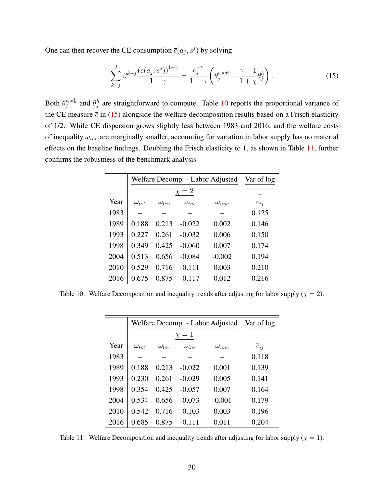One can then recover the CE consumption  $\overline{c}(a_j, s^j)$  by solving

<span id="page-30-1"></span>
$$
\sum_{k=j}^{J} \beta^{k-j} \frac{\left(\overline{c}(a_j, s^j)\right)^{1-\gamma}}{1-\gamma} = \frac{c_j^{-\gamma}}{1-\gamma} \left(\theta_j^{c, adj} - \frac{\gamma-1}{1+\chi} \theta_j^h\right). \tag{15}
$$

Both  $\theta_i^{c,adj}$ <sup>c, adj</sup> and  $\theta_j^h$  are straightforward to compute. Table [10](#page-30-0) reports the proportional variance of the CE measure  $\bar{c}$  in [\(15\)](#page-30-1) alongside the welfare decomposition results based on a Frisch elasticity of 1/2. While CE dispersion grows slightly less between 1983 and 2016, and the welfare costs of inequality  $\omega_{ine}$  are marginally smaller, accounting for variation in labor supply has no material effects on the baseline findings. Doubling the Frisch elasticity to 1, as shown in Table [11,](#page-30-2) further confirms the robustness of the benchmark analysis.

<span id="page-30-0"></span>

|      |                | Welfare Decomp. - Labor Adjusted |                |                |                     |  |  |  |
|------|----------------|----------------------------------|----------------|----------------|---------------------|--|--|--|
|      |                |                                  | $\chi = 2$     |                |                     |  |  |  |
| Year | $\omega_{tot}$ | $\omega_{lev}$                   | $\omega_{ine}$ | $\omega_{unc}$ | $\overline{c}_{ij}$ |  |  |  |
| 1983 |                |                                  |                |                | 0.125               |  |  |  |
| 1989 | 0.188          | 0.213                            | $-0.022$       | 0.002          | 0.146               |  |  |  |
| 1993 | 0.227          | 0.261                            | $-0.032$       | 0.006          | 0.150               |  |  |  |
| 1998 | 0.349          | 0.425                            | $-0.060$       | 0.007          | 0.174               |  |  |  |
| 2004 | 0.513          | 0.656                            | $-0.084$       | $-0.002$       | 0.194               |  |  |  |
| 2010 | 0.529          | 0.716                            | $-0.111$       | 0.003          | 0.210               |  |  |  |
| 2016 | 0.675          | 0.875                            | $-0.117$       | 0.012          | 0.216               |  |  |  |

<span id="page-30-2"></span>Table 10: Welfare Decomposition and inequality trends after adjusting for labor supply ( $\chi = 2$ ).

|      |                | Welfare Decomp. - Labor Adjusted |                |                |                     |  |  |  |
|------|----------------|----------------------------------|----------------|----------------|---------------------|--|--|--|
|      |                |                                  | $\chi=1$       |                |                     |  |  |  |
| Year | $\omega_{tot}$ | $\omega_{len}$                   | $\omega_{ine}$ | $\omega_{unc}$ | $\overline{c}_{ij}$ |  |  |  |
| 1983 |                |                                  |                |                | 0.118               |  |  |  |
| 1989 | 0.188          | 0.213                            | $-0.022$       | 0.001          | 0.139               |  |  |  |
| 1993 | 0.230          | 0.261                            | $-0.029$       | 0.005          | 0.141               |  |  |  |
| 1998 | 0.354          | 0.425                            | $-0.057$       | 0.007          | 0.164               |  |  |  |
| 2004 | 0.534          | 0.656                            | $-0.073$       | $-0.001$       | 0.179               |  |  |  |
| 2010 | 0.542          | 0.716                            | $-0.103$       | 0.003          | 0.196               |  |  |  |
| 2016 | 0.685          | 0.875                            | $-0.111$       | 0.011          | 0.204               |  |  |  |

Table 11: Welfare Decomposition and inequality trends after adjusting for labor supply ( $\chi = 1$ ).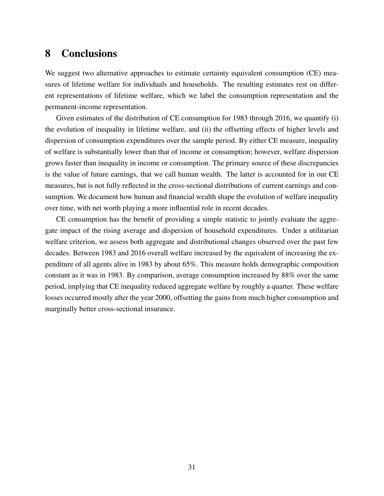## 8 Conclusions

We suggest two alternative approaches to estimate certainty equivalent consumption (CE) measures of lifetime welfare for individuals and households. The resulting estimates rest on different representations of lifetime welfare, which we label the consumption representation and the permanent-income representation.

Given estimates of the distribution of CE consumption for 1983 through 2016, we quantify (i) the evolution of inequality in lifetime welfare, and (ii) the offsetting effects of higher levels and dispersion of consumption expenditures over the sample period. By either CE measure, inequality of welfare is substantially lower than that of income or consumption; however, welfare dispersion grows faster than inequality in income or consumption. The primary source of these discrepancies is the value of future earnings, that we call human wealth. The latter is accounted for in our CE measures, but is not fully reflected in the cross-sectional distributions of current earnings and consumption. We document how human and financial wealth shape the evolution of welfare inequality over time, with net worth playing a more influential role in recent decades.

CE consumption has the benefit of providing a simple statistic to jointly evaluate the aggregate impact of the rising average and dispersion of household expenditures. Under a utilitarian welfare criterion, we assess both aggregate and distributional changes observed over the past few decades. Between 1983 and 2016 overall welfare increased by the equivalent of increasing the expenditure of all agents alive in 1983 by about 65%. This measure holds demographic composition constant as it was in 1983. By comparison, average consumption increased by 88% over the same period, implying that CE inequality reduced aggregate welfare by roughly a quarter. These welfare losses occurred mostly after the year 2000, offsetting the gains from much higher consumption and marginally better cross-sectional insurance.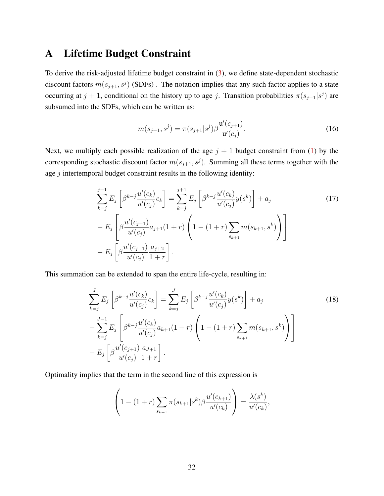### <span id="page-32-0"></span>A Lifetime Budget Constraint

To derive the risk-adjusted lifetime budget constraint in [\(3\)](#page-4-2), we define state-dependent stochastic discount factors  $m(s_{j+1}, s^j)$  (SDFs). The notation implies that any such factor applies to a state occurring at  $j + 1$ , conditional on the history up to age j. Transition probabilities  $\pi(s_{j+1}|s^j)$  are subsumed into the SDFs, which can be written as:

$$
m(s_{j+1}, s^j) = \pi(s_{j+1}|s^j)\beta \frac{\mathbf{u}'(c_{j+1})}{\mathbf{u}'(c_j)}.
$$
 (16)

Next, we multiply each possible realization of the age  $j + 1$  budget constraint from [\(1\)](#page-3-1) by the corresponding stochastic discount factor  $m(s_{j+1}, s^j)$ . Summing all these terms together with the age  $j$  intertemporal budget constraint results in the following identity:

$$
\sum_{k=j}^{j+1} E_j \left[ \beta^{k-j} \frac{u'(c_k)}{u'(c_j)} c_k \right] = \sum_{k=j}^{j+1} E_j \left[ \beta^{k-j} \frac{u'(c_k)}{u'(c_j)} y(s^k) \right] + a_j
$$
\n
$$
- E_j \left[ \beta \frac{u'(c_{j+1})}{u'(c_j)} a_{j+1} (1+r) \left( 1 - (1+r) \sum_{s_{k+1}} m(s_{k+1}, s^k) \right) \right]
$$
\n
$$
- E_j \left[ \beta \frac{u'(c_{j+1})}{u'(c_j)} \frac{a_{j+2}}{1+r} \right].
$$
\n(17)

This summation can be extended to span the entire life-cycle, resulting in:

$$
\sum_{k=j}^{J} E_j \left[ \beta^{k-j} \frac{u'(c_k)}{u'(c_j)} c_k \right] = \sum_{k=j}^{J} E_j \left[ \beta^{k-j} \frac{u'(c_k)}{u'(c_j)} y(s^k) \right] + a_j
$$
\n
$$
- \sum_{k=j}^{J-1} E_j \left[ \beta^{k-j} \frac{u'(c_k)}{u'(c_j)} a_{k+1} (1+r) \left( 1 - (1+r) \sum_{s_{k+1}} m(s_{k+1}, s^k) \right) \right]
$$
\n
$$
- E_j \left[ \beta \frac{u'(c_{j+1})}{u'(c_j)} \frac{a_{J+1}}{1+r} \right].
$$
\n(18)

Optimality implies that the term in the second line of this expression is

<span id="page-32-1"></span>
$$
\left(1 - (1+r)\sum_{s_{k+1}} \pi(s_{k+1}|s^k) \beta \frac{u'(c_{k+1})}{u'(c_k)}\right) = \frac{\lambda(s^k)}{u'(c_k)},
$$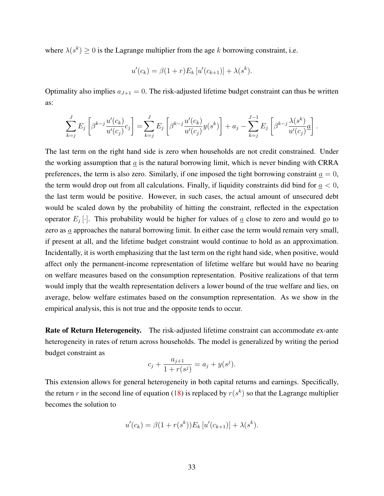where  $\lambda(s^k) \geq 0$  is the Lagrange multiplier from the age k borrowing constraint, i.e.

$$
u'(c_k) = \beta(1+r)E_k[u'(c_{k+1})] + \lambda(s^k).
$$

Optimality also implies  $a_{J+1} = 0$ . The risk-adjusted lifetime budget constraint can thus be written as:

$$
\sum_{k=j}^{J} E_j \left[ \beta^{k-j} \frac{u'(c_k)}{u'(c_j)} c_j \right] = \sum_{k=j}^{J} E_j \left[ \beta^{k-j} \frac{u'(c_k)}{u'(c_j)} y(s^k) \right] + a_j - \sum_{k=j}^{J-1} E_j \left[ \beta^{k-j} \frac{\lambda(s^k)}{u'(c_j)} a \right].
$$

The last term on the right hand side is zero when households are not credit constrained. Under the working assumption that  $a$  is the natural borrowing limit, which is never binding with CRRA preferences, the term is also zero. Similarly, if one imposed the tight borrowing constraint  $a = 0$ , the term would drop out from all calculations. Finally, if liquidity constraints did bind for  $a < 0$ , the last term would be positive. However, in such cases, the actual amount of unsecured debt would be scaled down by the probability of hitting the constraint, reflected in the expectation operator  $E_j[\cdot]$ . This probability would be higher for values of  $\underline{a}$  close to zero and would go to zero as  $\underline{a}$  approaches the natural borrowing limit. In either case the term would remain very small, if present at all, and the lifetime budget constraint would continue to hold as an approximation. Incidentally, it is worth emphasizing that the last term on the right hand side, when positive, would affect only the permanent-income representation of lifetime welfare but would have no bearing on welfare measures based on the consumption representation. Positive realizations of that term would imply that the wealth representation delivers a lower bound of the true welfare and lies, on average, below welfare estimates based on the consumption representation. As we show in the empirical analysis, this is not true and the opposite tends to occur.

Rate of Return Heterogeneity. The risk-adjusted lifetime constraint can accommodate ex-ante heterogeneity in rates of return across households. The model is generalized by writing the period budget constraint as

$$
c_j + \frac{a_{j+1}}{1 + r(s^j)} = a_j + y(s^j).
$$

This extension allows for general heterogeneity in both capital returns and earnings. Specifically, the return r in the second line of equation [\(18\)](#page-32-1) is replaced by  $r(s^k)$  so that the Lagrange multiplier becomes the solution to

$$
u'(c_k) = \beta(1 + r(s^k))E_k[u'(c_{k+1})] + \lambda(s^k).
$$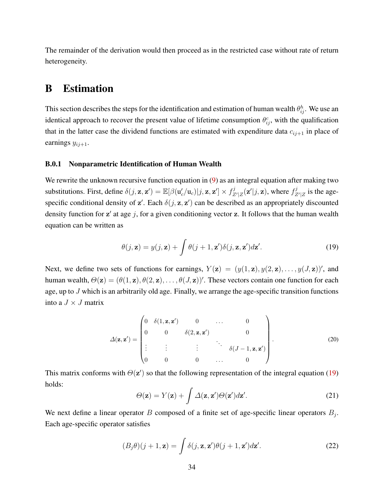The remainder of the derivation would then proceed as in the restricted case without rate of return heterogeneity.

## <span id="page-34-0"></span>B Estimation

This section describes the steps for the identification and estimation of human wealth  $\theta_{ij}^h$ . We use an identical approach to recover the present value of lifetime consumption  $\theta_{ij}^c$ , with the qualification that in the latter case the dividend functions are estimated with expenditure data  $c_{ij+1}$  in place of earnings  $y_{ij+1}$ .

#### B.0.1 Nonparametric Identification of Human Wealth

We rewrite the unknown recursive function equation in [\(9\)](#page-6-2) as an integral equation after making two substitutions. First, define  $\delta(j, \mathbf{z}, \mathbf{z}') = \mathbb{E}[\beta(\mathbf{u}_c' / \mathbf{u}_c)|j, \mathbf{z}, \mathbf{z}'] \times f_Z^j$  $Z'_{Z'|Z}(\mathbf{z}'|j,\mathbf{z})$ , where  $f_Z^j$  $Z^2$  is the agespecific conditional density of  $z'$ . Each  $\delta(j, z, z')$  can be described as an appropriately discounted density function for  $z'$  at age j, for a given conditioning vector  $z$ . It follows that the human wealth equation can be written as

<span id="page-34-1"></span>
$$
\theta(j, \mathbf{z}) = y(j, \mathbf{z}) + \int \theta(j+1, \mathbf{z}') \delta(j, \mathbf{z}, \mathbf{z}') d\mathbf{z}'.
$$
 (19)

Next, we define two sets of functions for earnings,  $Y(\mathbf{z}) = (y(1, \mathbf{z}), y(2, \mathbf{z}), \dots, y(J, \mathbf{z}))'$ , and human wealth,  $\Theta(\mathbf{z}) = (\theta(1, \mathbf{z}), \theta(2, \mathbf{z}), \dots, \theta(J, \mathbf{z}))'$ . These vectors contain one function for each age, up to J which is an arbitrarily old age. Finally, we arrange the age-specific transition functions into a  $J \times J$  matrix

<span id="page-34-3"></span>
$$
\Delta(\mathbf{z}, \mathbf{z}') = \begin{pmatrix} 0 & \delta(1, \mathbf{z}, \mathbf{z}') & 0 & \dots & 0 \\ 0 & 0 & \delta(2, \mathbf{z}, \mathbf{z}') & 0 \\ \vdots & \vdots & \vdots & \ddots & \vdots \\ 0 & 0 & 0 & \dots & 0 \end{pmatrix} .
$$
 (20)

This matrix conforms with  $\Theta(\mathbf{z}')$  so that the following representation of the integral equation [\(19\)](#page-34-1) holds:

<span id="page-34-2"></span>
$$
\Theta(\mathbf{z}) = Y(\mathbf{z}) + \int \Delta(\mathbf{z}, \mathbf{z}') \Theta(\mathbf{z}') d\mathbf{z}'. \tag{21}
$$

We next define a linear operator B composed of a finite set of age-specific linear operators  $B_j$ . Each age-specific operator satisfies

$$
(B_j \theta)(j+1, \mathbf{z}) = \int \delta(j, \mathbf{z}, \mathbf{z}') \theta(j+1, \mathbf{z}') d\mathbf{z}'.
$$
 (22)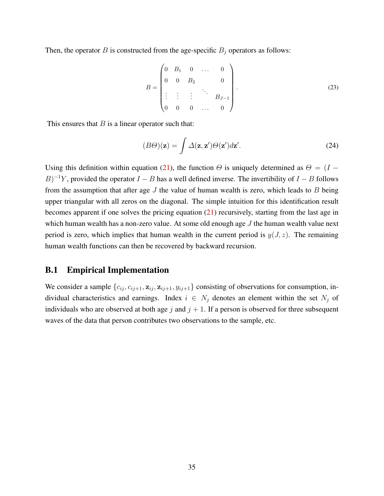Then, the operator B is constructed from the age-specific  $B_i$  operators as follows:

$$
B = \begin{pmatrix} 0 & B_1 & 0 & \dots & 0 \\ 0 & 0 & B_2 & & 0 \\ \vdots & \vdots & \vdots & \ddots & \vdots \\ 0 & 0 & 0 & \dots & 0 \end{pmatrix} .
$$
 (23)

This ensures that  $B$  is a linear operator such that:

$$
(B\Theta)(\mathbf{z}) = \int \Delta(\mathbf{z}, \mathbf{z}') \Theta(\mathbf{z}') d\mathbf{z}'. \tag{24}
$$

Using this definition within equation [\(21\)](#page-34-2), the function  $\Theta$  is uniquely determined as  $\Theta = (I B$ )<sup>-1</sup>Y, provided the operator  $I - B$  has a well defined inverse. The invertibility of  $I - B$  follows from the assumption that after age  $J$  the value of human wealth is zero, which leads to  $B$  being upper triangular with all zeros on the diagonal. The simple intuition for this identification result becomes apparent if one solves the pricing equation [\(21\)](#page-34-2) recursively, starting from the last age in which human wealth has a non-zero value. At some old enough age  $J$  the human wealth value next period is zero, which implies that human wealth in the current period is  $y(J, z)$ . The remaining human wealth functions can then be recovered by backward recursion.

### B.1 Empirical Implementation

We consider a sample  $\{c_{ij}, c_{ij+1}, \mathbf{z}_{ij}, \mathbf{z}_{ij+1}, y_{ij+1}\}$  consisting of observations for consumption, individual characteristics and earnings. Index  $i \in N_j$  denotes an element within the set  $N_j$  of individuals who are observed at both age j and  $j + 1$ . If a person is observed for three subsequent waves of the data that person contributes two observations to the sample, etc.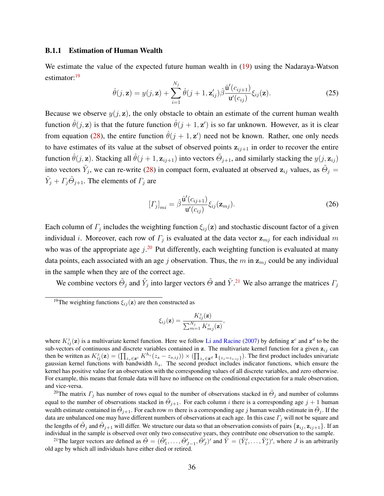#### B.1.1 Estimation of Human Wealth

We estimate the value of the expected future human wealth in [\(19\)](#page-34-1) using the Nadaraya-Watson estimator:<sup>[19](#page-36-0)</sup>

$$
\hat{\theta}(j,\mathbf{z}) = y(j,\mathbf{z}) + \sum_{i=1}^{N_j} \hat{\theta}(j+1,\mathbf{z}'_{ij}) \hat{\beta} \frac{\hat{\mathbf{u}}'(c_{ij+1})}{\mathbf{u}'(c_{ij})} \xi_{ij}(\mathbf{z}).
$$
\n(25)

Because we observe  $y(j, z)$ , the only obstacle to obtain an estimate of the current human wealth function  $\hat{\theta}(j, \mathbf{z})$  is that the future function  $\hat{\theta}(j + 1, \mathbf{z}')$  is so far unknown. However, as it is clear from equation [\(28\)](#page-37-0), the entire function  $\hat{\theta}(j + 1, z')$  need not be known. Rather, one only needs to have estimates of its value at the subset of observed points  $z_{i,j+1}$  in order to recover the entire function  $\hat{\theta}(j, \mathbf{z})$ . Stacking all  $\hat{\theta}(j + 1, \mathbf{z}_{ij+1})$  into vectors  $\tilde{\Theta}_{j+1}$ , and similarly stacking the  $y(j, \mathbf{z}_{ij})$ into vectors  $\tilde{Y}_j$ , we can re-write [\(28\)](#page-37-0) in compact form, evaluated at observed  $\mathbf{z}_{ij}$  values, as  $\tilde{\Theta}_j =$  $\tilde{Y}_j + \Gamma_j \tilde{\Theta}_{j+1}$ . The elements of  $\Gamma_j$  are

<span id="page-36-3"></span>
$$
[T_j]_{mi} = \hat{\beta} \frac{\hat{\mathbf{u}}'(c_{ij+1})}{\mathbf{u}'(c_{ij})} \xi_{ij}(\mathbf{z}_{mj}).
$$
\n(26)

Each column of  $\Gamma_j$  includes the weighting function  $\xi_{ij}(\mathbf{z})$  and stochastic discount factor of a given individual *i*. Moreover, each row of  $\Gamma_j$  is evaluated at the data vector  $z_{mj}$  for each individual m who was of the appropriate age  $j^{20}$  $j^{20}$  $j^{20}$  Put differently, each weighting function is evaluated at many data points, each associated with an age j observation. Thus, the  $m$  in  $z_{mj}$  could be any individual in the sample when they are of the correct age.

We combine vectors  $\tilde{\Theta}_j$  and  $\tilde{Y}_j$  into larger vectors  $\tilde{\Theta}$  and  $\tilde{Y}$ .<sup>[21](#page-36-2)</sup> We also arrange the matrices  $\Gamma_j$ 

$$
\xi_{ij}(\mathbf{z}) = \frac{K_{ij}^z(\mathbf{z})}{\sum_{m=1}^{N_j} K_{mj}^z(\mathbf{z})},
$$

where  $K_{ij}^z(z)$  is a multivariate kernel function. Here we follow [Li and Racine](#page-42-19) [\(2007\)](#page-42-19) by defining  $z^c$  and  $z^d$  to be the sub-vectors of continuous and discrete variables contained in z. The multivariate kernel function for a given  $z_{ij}$  can then be written as  $K_{ij}^z(\mathbf{z}) = (\prod_{z_s \in \mathbf{z}^c} K^{h_s}(z_s - z_{s,ij})) \times (\prod_{z_s \in \mathbf{z}^d} \mathbf{1}_{\{z_s = z_{s,ij}\}})$ . The first product includes univariate gaussian kernel functions with bandwidth  $h_s$ . The second product includes indicator functions, which ensure the kernel has positive value for an observation with the corresponding values of all discrete variables, and zero otherwise. For example, this means that female data will have no influence on the conditional expectation for a male observation, and vice-versa.

<span id="page-36-1"></span><sup>20</sup>The matrix  $\Gamma_j$  has number of rows equal to the number of observations stacked in  $\tilde{\Theta}_j$  and number of columns equal to the number of observations stacked in  $\tilde{\Theta}_{j+1}$ . For each column i there is a corresponding age  $j+1$  human wealth estimate contained in  $\tilde{\Theta}_{j+1}$ . For each row m there is a corresponding age j human wealth estimate in  $\tilde{\Theta}_j$ . If the data are unbalanced one may have different numbers of observations at each age. In this case  $\Gamma_j$  will not be square and the lengths of  $\tilde{\Theta}_j$  and  $\tilde{\Theta}_{j+1}$  will differ. We structure our data so that an observation consists of pairs  $\{z_{ij}, z_{ij+1}\}$ . If an individual in the sample is observed over only two consecutive years, they contribute one observation to the sample.

<span id="page-36-2"></span><sup>21</sup>The larger vectors are defined as  $\tilde{\Theta} = (\tilde{\Theta}'_1, \dots, \tilde{\Theta}'_{J-1}, \tilde{\Theta}'_J)'$  and  $\tilde{Y} = (\tilde{Y}'_1, \dots, \tilde{Y}'_J)'$ , where J is an arbitrarily old age by which all individuals have either died or retired.

<span id="page-36-0"></span><sup>&</sup>lt;sup>19</sup>The weighting functions  $\xi_{ij}(\mathbf{z})$  are then constructed as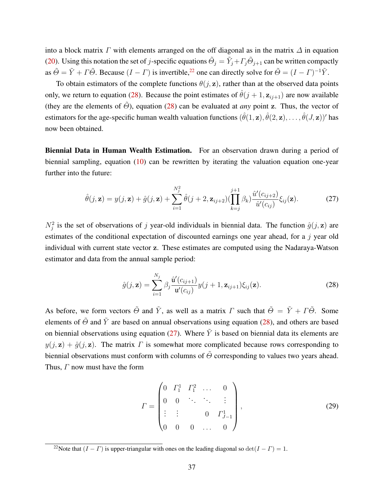into a block matrix  $\Gamma$  with elements arranged on the off diagonal as in the matrix  $\Delta$  in equation [\(20\)](#page-34-3). Using this notation the set of j-specific equations  $\tilde{\Theta}_j = \tilde{Y}_j + \Gamma_j \tilde{\Theta}_{j+1}$  can be written compactly as  $\tilde{\Theta} = \tilde{Y} + \Gamma \tilde{\Theta}$ . Because  $(I - \Gamma)$  is invertible,<sup>[22](#page-37-1)</sup> one can directly solve for  $\tilde{\Theta} = (I - \Gamma)^{-1} \tilde{Y}$ .

To obtain estimators of the complete functions  $\theta(j, z)$ , rather than at the observed data points only, we return to equation [\(28\)](#page-37-0). Because the point estimates of  $\hat{\theta}(j + 1, z_{i,j+1})$  are now available (they are the elements of  $\tilde{\Theta}$ ), equation [\(28\)](#page-37-0) can be evaluated at *any* point z. Thus, the vector of estimators for the age-specific human wealth valuation functions  $(\hat{\theta}(1, \mathbf{z}), \hat{\theta}(2, \mathbf{z}), \dots, \hat{\theta}(J, \mathbf{z}))'$  has now been obtained.

Biennial Data in Human Wealth Estimation. For an observation drawn during a period of biennial sampling, equation [\(10\)](#page-6-3) can be rewritten by iterating the valuation equation one-year further into the future:

<span id="page-37-2"></span>
$$
\hat{\theta}(j, \mathbf{z}) = y(j, \mathbf{z}) + \hat{g}(j, \mathbf{z}) + \sum_{i=1}^{N_j^2} \hat{\theta}(j+2, \mathbf{z}_{ij+2}) \left(\prod_{k=j}^{j+1} \beta_k\right) \frac{\hat{u}'(c_{ij+2})}{\hat{u}'(c_{ij})} \xi_{ij}(\mathbf{z}).
$$
\n(27)

 $N_j^2$  is the set of observations of j year-old individuals in biennial data. The function  $\hat{g}(j, \mathbf{z})$  are estimates of the conditional expectation of discounted earnings one year ahead, for a j year old individual with current state vector z. These estimates are computed using the Nadaraya-Watson estimator and data from the annual sample period:

<span id="page-37-0"></span>
$$
\hat{g}(j, \mathbf{z}) = \sum_{i=1}^{N_j} \beta_j \frac{\hat{\mathbf{u}}'(c_{ij+1})}{\mathbf{u}'(c_{ij})} y(j+1, \mathbf{z}_{ij+1}) \xi_{ij}(\mathbf{z}).
$$
\n(28)

As before, we form vectors  $\tilde{\Theta}$  and  $\tilde{Y}$ , as well as a matrix  $\Gamma$  such that  $\tilde{\Theta} = \tilde{Y} + \Gamma \tilde{\Theta}$ . Some elements of  $\tilde{\Theta}$  and  $\tilde{Y}$  are based on annual observations using equation [\(28\)](#page-37-0), and others are based on biennial observations using equation [\(27\)](#page-37-2). Where  $\tilde{Y}$  is based on biennial data its elements are  $y(j, z) + \hat{g}(j, z)$ . The matrix  $\Gamma$  is somewhat more complicated because rows corresponding to biennial observations must conform with columns of  $\tilde{\Theta}$  corresponding to values two years ahead. Thus, Γ now must have the form

$$
\Gamma = \begin{pmatrix} 0 & \Gamma_1^1 & \Gamma_1^2 & \dots & 0 \\ 0 & 0 & \ddots & \ddots & \vdots \\ \vdots & \vdots & & 0 & \Gamma_{J-1}^1 \\ 0 & 0 & 0 & \dots & 0 \end{pmatrix},
$$
(29)

<span id="page-37-1"></span><sup>&</sup>lt;sup>22</sup>Note that  $(I - \Gamma)$  is upper-triangular with ones on the leading diagonal so  $\det(I - \Gamma) = 1$ .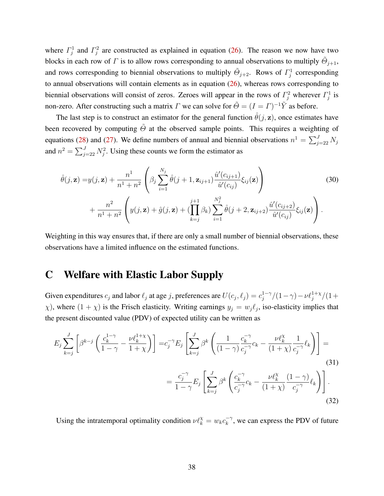where  $\Gamma_j^1$  and  $\Gamma_j^2$  are constructed as explained in equation [\(26\)](#page-36-3). The reason we now have two blocks in each row of  $\Gamma$  is to allow rows corresponding to annual observations to multiply  $\tilde{\Theta}_{j+1}$ , and rows corresponding to biennial observations to multiply  $\tilde{\Theta}_{j+2}$ . Rows of  $\Gamma_j^1$  corresponding to annual observations will contain elements as in equation [\(26\)](#page-36-3), whereas rows corresponding to biennial observations will consist of zeros. Zeroes will appear in the rows of  $\Gamma_j^2$  wherever  $\Gamma_j^1$  is non-zero. After constructing such a matrix  $\Gamma$  we can solve for  $\tilde{\Theta} = (I - \Gamma)^{-1} \tilde{Y}$  as before.

The last step is to construct an estimator for the general function  $\hat{\theta}(\vec{\jmath}, z)$ , once estimates have been recovered by computing  $\tilde{\Theta}$  at the observed sample points. This requires a weighting of equations [\(28\)](#page-37-0) and [\(27\)](#page-37-2). We define numbers of annual and biennial observations  $n^1 = \sum_{j=2}^{J} N_j$ and  $n^2 = \sum_{j=2}^{J} N_j^2$ . Using these counts we form the estimator as

$$
\hat{\theta}(j, \mathbf{z}) = y(j, \mathbf{z}) + \frac{n^1}{n^1 + n^2} \left( \beta_j \sum_{i=1}^{N_j} \hat{\theta}(j+1, \mathbf{z}_{ij+1}) \frac{\hat{u}'(c_{ij+1})}{\hat{u}'(c_{ij})} \xi_{ij}(\mathbf{z}) \right) + \frac{n^2}{n^1 + n^2} \left( y(j, \mathbf{z}) + \hat{g}(j, \mathbf{z}) + \left( \prod_{k=j}^{j+1} \beta_k \right) \sum_{i=1}^{N_j^2} \hat{\theta}(j+2, \mathbf{z}_{ij+2}) \frac{\hat{u}'(c_{ij+2})}{\hat{u}'(c_{ij})} \xi_{ij}(\mathbf{z}) \right).
$$
\n(30)

Weighting in this way ensures that, if there are only a small number of biennial observations, these observations have a limited influence on the estimated functions.

## <span id="page-38-0"></span>C Welfare with Elastic Labor Supply

Given expenditures  $c_j$  and labor  $\ell_j$  at age j, preferences are  $U(c_j, \ell_j) = c_j^{1-\gamma}$  $j^{1-\gamma}/(1-\gamma) - \nu \ell_j^{1+\chi}/(1+\gamma)$  $(\chi)$ , where  $(1 + \chi)$  is the Frisch elasticity. Writing earnings  $y_j = w_j \ell_j$ , iso-elasticity implies that the present discounted value (PDV) of expected utility can be written as

$$
E_j \sum_{k=j}^{J} \left[ \beta^{k-j} \left( \frac{c_k^{1-\gamma}}{1-\gamma} - \frac{\nu \ell_k^{1+\chi}}{1+\chi} \right) \right] = c_j^{-\gamma} E_j \left[ \sum_{k=j}^{J} \beta^k \left( \frac{1}{(1-\gamma)} \frac{c_k^{-\gamma}}{c_j^{-\gamma}} c_k - \frac{\nu \ell_k^{\chi}}{(1+\chi)} \frac{1}{c_j^{-\gamma}} \ell_k \right) \right] =
$$
\n
$$
= \frac{c_j^{-\gamma}}{1-\gamma} E_j \left[ \sum_{k=j}^{J} \beta^k \left( \frac{c_k^{-\gamma}}{c_j^{-\gamma}} c_k - \frac{\nu \ell_k^{\chi}}{(1+\chi)} \frac{(1-\gamma)}{c_j^{-\gamma}} \ell_k \right) \right].
$$
\n(31)

Using the intratemporal optimality condition  $\nu \ell_k^{\chi} = w_k c_k^{-\gamma}$  $k_{k}^{-\gamma}$ , we can express the PDV of future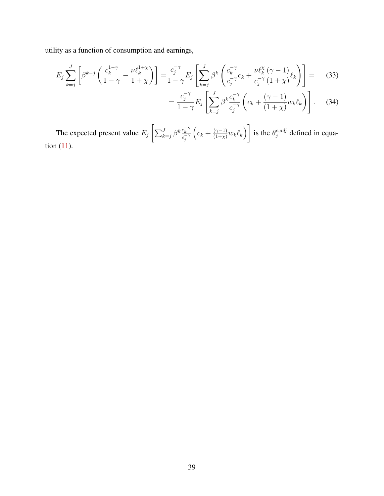utility as a function of consumption and earnings,

$$
E_j \sum_{k=j}^{J} \left[ \beta^{k-j} \left( \frac{c_k^{1-\gamma}}{1-\gamma} - \frac{\nu \ell_k^{1+\chi}}{1+\chi} \right) \right] = \frac{c_j^{-\gamma}}{1-\gamma} E_j \left[ \sum_{k=j}^{J} \beta^k \left( \frac{c_k^{-\gamma}}{c_j^{-\gamma}} c_k + \frac{\nu \ell_k^{\chi}}{c_j^{-\gamma}} \frac{(\gamma-1)}{(1+\chi)} \ell_k \right) \right] = (33)
$$

$$
= \frac{c_j^{-\gamma}}{1-\gamma} E_j \left[ \sum_{k=j}^J \beta^k \frac{c_k^{-\gamma}}{c_j^{-\gamma}} \left( c_k + \frac{(\gamma-1)}{(1+\chi)} w_k \ell_k \right) \right]. \tag{34}
$$

The expected present value  $E_j \left[ \sum_{k=j}^{J} \beta^k \frac{c_k^{-\gamma}}{c_j^{-\gamma}} \right]$  $\left(c_k + \frac{(\gamma-1)}{(1+\chi)}w_k\ell_k\right)$ is the  $\theta_i^{c,adj}$  $j^{c, \alpha q}$  defined in equation [\(11\)](#page-29-1).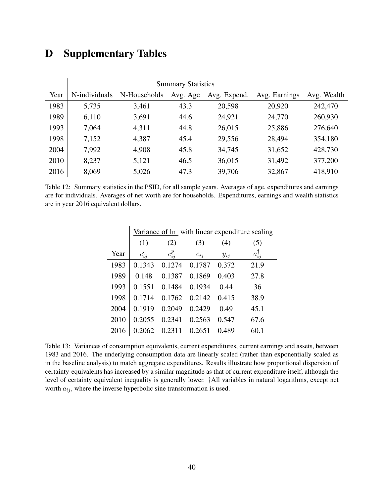# <span id="page-40-0"></span>D Supplementary Tables

 $\overline{a}$ 

|      | <b>Summary Statistics</b> |              |          |              |               |             |  |  |  |  |  |
|------|---------------------------|--------------|----------|--------------|---------------|-------------|--|--|--|--|--|
| Year | N-individuals             | N-Households | Avg. Age | Avg. Expend. | Avg. Earnings | Avg. Wealth |  |  |  |  |  |
| 1983 | 5,735                     | 3,461        | 43.3     | 20,598       | 20,920        | 242,470     |  |  |  |  |  |
| 1989 | 6,110                     | 3,691        | 44.6     | 24,921       | 24,770        | 260,930     |  |  |  |  |  |
| 1993 | 7,064                     | 4,311        | 44.8     | 26,015       | 25,886        | 276,640     |  |  |  |  |  |
| 1998 | 7,152                     | 4,387        | 45.4     | 29,556       | 28,494        | 354,180     |  |  |  |  |  |
| 2004 | 7,992                     | 4,908        | 45.8     | 34,745       | 31,652        | 428,730     |  |  |  |  |  |
| 2010 | 8,237                     | 5,121        | 46.5     | 36,015       | 31,492        | 377,200     |  |  |  |  |  |
| 2016 | 8,069                     | 5,026        | 47.3     | 39,706       | 32,867        | 418,910     |  |  |  |  |  |

Table 12: Summary statistics in the PSID, for all sample years. Averages of age, expenditures and earnings are for individuals. Averages of net worth are for households. Expenditures, earnings and wealth statistics are in year 2016 equivalent dollars.

|      | Variance of $\ln^{\dagger}$ with linear expenditure scaling |                  |          |          |                    |
|------|-------------------------------------------------------------|------------------|----------|----------|--------------------|
|      | (1)                                                         | (2)              | (3)      | (4)      | (5)                |
| Year | $\overline{c}_{ij}^c$                                       | $\bar{c}_{ij}^p$ | $c_{ij}$ | $y_{ij}$ | $a_{ii}^{\dagger}$ |
| 1983 | 0.1343                                                      | 0.1274           | 0.1787   | 0.372    | 21.9               |
| 1989 | 0.148                                                       | 0.1387           | 0.1869   | 0.403    | 27.8               |
| 1993 | 0.1551                                                      | 0.1484           | 0.1934   | 0.44     | 36                 |
| 1998 | 0.1714                                                      | 0.1762           | 0.2142   | 0.415    | 38.9               |
| 2004 | 0.1919                                                      | 0.2049           | 0.2429   | 0.49     | 45.1               |
| 2010 | 0.2055                                                      | 0.2341           | 0.2563   | 0.547    | 67.6               |
| 2016 | 0.2062                                                      | 0.2311           | 0.2651   | 0.489    | 60.1               |

Table 13: Variances of consumption equivalents, current expenditures, current earnings and assets, between 1983 and 2016. The underlying consumption data are linearly scaled (rather than exponentially scaled as in the baseline analysis) to match aggregate expenditures. Results illustrate how proportional dispersion of certainty-equivalents has increased by a similar magnitude as that of current expenditure itself, although the level of certainty equivalent inequality is generally lower. †All variables in natural logarithms, except net worth  $a_{ij}$ , where the inverse hyperbolic sine transformation is used.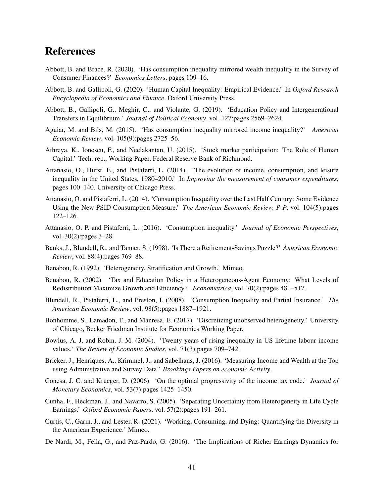## References

- <span id="page-41-13"></span>Abbott, B. and Brace, R. (2020). 'Has consumption inequality mirrored wealth inequality in the Survey of Consumer Finances?' *Economics Letters*, pages 109–16.
- <span id="page-41-9"></span>Abbott, B. and Gallipoli, G. (2020). 'Human Capital Inequality: Empirical Evidence.' In *Oxford Research Encyclopedia of Economics and Finance*. Oxford University Press.
- <span id="page-41-11"></span>Abbott, B., Gallipoli, G., Meghir, C., and Violante, G. (2019). 'Education Policy and Intergenerational Transfers in Equilibrium.' *Journal of Political Economy*, vol. 127:pages 2569–2624.
- <span id="page-41-2"></span>Aguiar, M. and Bils, M. (2015). 'Has consumption inequality mirrored income inequality?' *American Economic Review*, vol. 105(9):pages 2725–56.
- <span id="page-41-8"></span>Athreya, K., Ionescu, F., and Neelakantan, U. (2015). 'Stock market participation: The Role of Human Capital.' Tech. rep., Working Paper, Federal Reserve Bank of Richmond.
- <span id="page-41-1"></span>Attanasio, O., Hurst, E., and Pistaferri, L. (2014). 'The evolution of income, consumption, and leisure inequality in the United States, 1980–2010.' In *Improving the measurement of consumer expenditures*, pages 100–140. University of Chicago Press.
- <span id="page-41-12"></span>Attanasio, O. and Pistaferri, L. (2014). 'Consumption Inequality over the Last Half Century: Some Evidence Using the New PSID Consumption Measure.' *The American Economic Review, P P*, vol. 104(5):pages 122–126.
- <span id="page-41-3"></span>Attanasio, O. P. and Pistaferri, L. (2016). 'Consumption inequality.' *Journal of Economic Perspectives*, vol. 30(2):pages 3–28.
- <span id="page-41-14"></span>Banks, J., Blundell, R., and Tanner, S. (1998). 'Is There a Retirement-Savings Puzzle?' *American Economic Review*, vol. 88(4):pages 769–88.
- <span id="page-41-10"></span>Benabou, R. (1992). 'Heterogeneity, Stratification and Growth.' Mimeo.
- <span id="page-41-15"></span>Benabou, R. (2002). 'Tax and Education Policy in a Heterogeneous-Agent Economy: What Levels of Redistribution Maximize Growth and Efficiency?' *Econometrica*, vol. 70(2):pages 481–517.
- <span id="page-41-0"></span>Blundell, R., Pistaferri, L., and Preston, I. (2008). 'Consumption Inequality and Partial Insurance.' *The American Economic Review*, vol. 98(5):pages 1887–1921.
- <span id="page-41-17"></span>Bonhomme, S., Lamadon, T., and Manresa, E. (2017). 'Discretizing unobserved heterogeneity.' University of Chicago, Becker Friedman Institute for Economics Working Paper.
- <span id="page-41-4"></span>Bowlus, A. J. and Robin, J.-M. (2004). 'Twenty years of rising inequality in US lifetime labour income values.' *The Review of Economic Studies*, vol. 71(3):pages 709–742.
- <span id="page-41-7"></span>Bricker, J., Henriques, A., Krimmel, J., and Sabelhaus, J. (2016). 'Measuring Income and Wealth at the Top using Administrative and Survey Data.' *Brookings Papers on economic Activity*.
- <span id="page-41-16"></span>Conesa, J. C. and Krueger, D. (2006). 'On the optimal progressivity of the income tax code.' *Journal of Monetary Economics*, vol. 53(7):pages 1425–1450.
- <span id="page-41-18"></span>Cunha, F., Heckman, J., and Navarro, S. (2005). 'Separating Uncertainty from Heterogeneity in Life Cycle Earnings.' *Oxford Economic Papers*, vol. 57(2):pages 191–261.
- <span id="page-41-5"></span>Curtis, C., Garın, J., and Lester, R. (2021). 'Working, Consuming, and Dying: Quantifying the Diversity in the American Experience.' Mimeo.
- <span id="page-41-6"></span>De Nardi, M., Fella, G., and Paz-Pardo, G. (2016). 'The Implications of Richer Earnings Dynamics for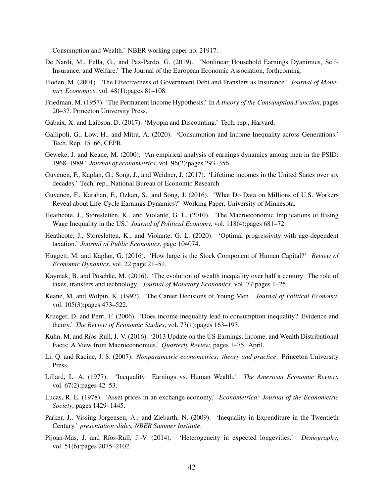Consumption and Wealth.' NBER working paper no. 21917.

- <span id="page-42-8"></span>De Nardi, M., Fella, G., and Paz-Pardo, G. (2019). 'Nonlinear Household Earnings Dyanimics, Self-Insurance, and Welfare.' The Journal of the European Economic Association, forthcoming.
- <span id="page-42-11"></span>Floden, M. (2001). 'The Effectiveness of Government Debt and Transfers as Insurance.' *Journal of Monetary Economics*, vol. 48(1):pages 81–108.
- <span id="page-42-6"></span>Friedman, M. (1957). 'The Permanent Income Hypothesis.' In *A theory of the Consumption Function*, pages 20–37. Princeton University Press.
- <span id="page-42-13"></span>Gabaix, X. and Laibson, D. (2017). 'Myopia and Discounting.' Tech. rep., Harvard.
- <span id="page-42-17"></span>Gallipoli, G., Low, H., and Mitra, A. (2020). 'Consumption and Income Inequality across Generations.' Tech. Rep. 15166, CEPR.
- <span id="page-42-4"></span>Geweke, J. and Keane, M. (2000). 'An empirical analysis of earnings dynamics among men in the PSID: 1968–1989.' *Journal of econometrics*, vol. 96(2):pages 293–356.
- <span id="page-42-5"></span>Guvenen, F., Kaplan, G., Song, J., and Weidner, J. (2017). 'Lifetime incomes in the United States over six decades.' Tech. rep., National Bureau of Economic Research.
- <span id="page-42-7"></span>Guvenen, F., Karahan, F., Ozkan, S., and Song, J. (2016). 'What Do Data on Millions of U.S. Workers Reveal about Life-Cycle Earnings Dynamics?' Working Paper, University of Minnesota.
- <span id="page-42-1"></span>Heathcote, J., Storesletten, K., and Violante, G. L. (2010). 'The Macroeconomic Implications of Rising Wage Inequality in the US.' *Journal of Political Economy*, vol. 118(4):pages 681–72.
- <span id="page-42-18"></span>Heathcote, J., Storesletten, K., and Violante, G. L. (2020). 'Optimal progressivity with age-dependent taxation.' *Journal of Public Economics*, page 104074.
- <span id="page-42-12"></span>Huggett, M. and Kaplan, G. (2016). 'How large is the Stock Component of Human Capital?' *Review of Economic Dynamics*, vol. 22:page 21–51.
- <span id="page-42-9"></span>Kaymak, B. and Poschke, M. (2016). 'The evolution of wealth inequality over half a century: The role of taxes, transfers and technology.' *Journal of Monetary Economics*, vol. 77:pages 1–25.
- <span id="page-42-3"></span>Keane, M. and Wolpin, K. (1997). 'The Career Decisions of Young Men.' *Journal of Political Economy*, vol. 105(3):pages 473–522.
- <span id="page-42-0"></span>Krueger, D. and Perri, F. (2006). 'Does income inequality lead to consumption inequality? Evidence and theory.' *The Review of Economic Studies*, vol. 73(1):pages 163–193.
- <span id="page-42-10"></span>Kuhn, M. and Ríos-Rull, J.-V. (2016). '2013 Update on the US Earnings, Income, and Wealth Distributional Facts: A View from Macroeconomics.' *Quarterly Review*, pages 1–75. April.
- <span id="page-42-19"></span>Li, Q. and Racine, J. S. (2007). *Nonparametric econometrics: theory and practice*. Princeton University Press.
- <span id="page-42-2"></span>Lillard, L. A. (1977). 'Inequality: Earnings vs. Human Wealth.' *The American Economic Review*, vol. 67(2): pages 42–53.
- <span id="page-42-14"></span>Lucas, R. E. (1978). 'Asset prices in an exchange economy.' *Econometrica: Journal of the Econometric Society*, pages 1429–1445.
- <span id="page-42-15"></span>Parker, J., Vissing-Jorgensen, A., and Ziebarth, N. (2009). 'Inequality in Expenditure in the Twentieth Century.' *presentation slides, NBER Summer Institute*.
- <span id="page-42-16"></span>Pijoan-Mas, J. and Ríos-Rull, J.-V. (2014). 'Heterogeneity in expected longevities.' *Demography*, vol. 51(6):pages 2075–2102.